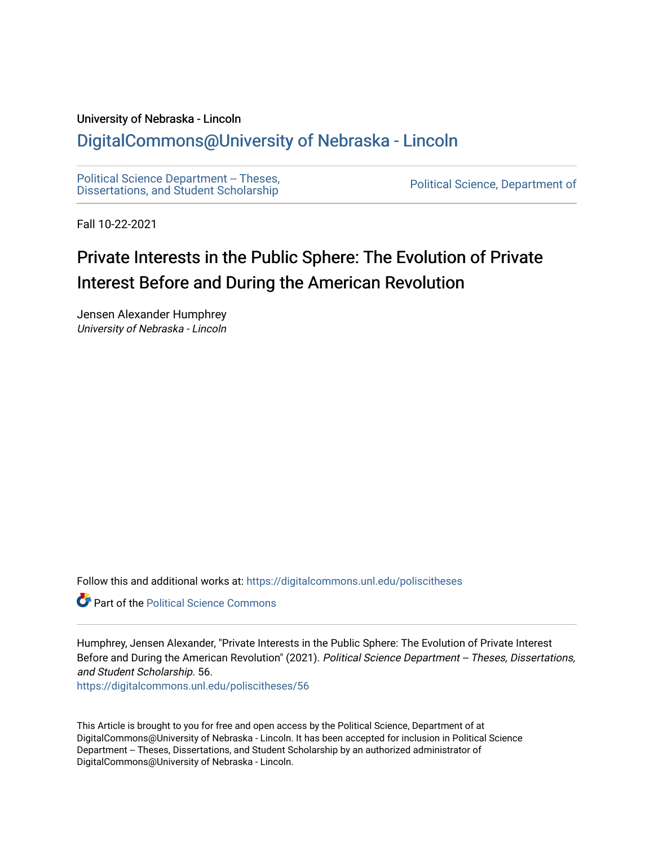#### University of Nebraska - Lincoln

# [DigitalCommons@University of Nebraska - Lincoln](https://digitalcommons.unl.edu/)

[Political Science Department -- Theses,](https://digitalcommons.unl.edu/poliscitheses) Political Science Department - Theses,<br>[Dissertations, and Student Scholarship](https://digitalcommons.unl.edu/poliscitheses) Political Science, Department of

Fall 10-22-2021

# Private Interests in the Public Sphere: The Evolution of Private Interest Before and During the American Revolution

Jensen Alexander Humphrey University of Nebraska - Lincoln

Follow this and additional works at: [https://digitalcommons.unl.edu/poliscitheses](https://digitalcommons.unl.edu/poliscitheses?utm_source=digitalcommons.unl.edu%2Fpoliscitheses%2F56&utm_medium=PDF&utm_campaign=PDFCoverPages)

**Part of the Political Science Commons** 

Humphrey, Jensen Alexander, "Private Interests in the Public Sphere: The Evolution of Private Interest Before and During the American Revolution" (2021). Political Science Department -- Theses, Dissertations, and Student Scholarship. 56.

[https://digitalcommons.unl.edu/poliscitheses/56](https://digitalcommons.unl.edu/poliscitheses/56?utm_source=digitalcommons.unl.edu%2Fpoliscitheses%2F56&utm_medium=PDF&utm_campaign=PDFCoverPages) 

This Article is brought to you for free and open access by the Political Science, Department of at DigitalCommons@University of Nebraska - Lincoln. It has been accepted for inclusion in Political Science Department -- Theses, Dissertations, and Student Scholarship by an authorized administrator of DigitalCommons@University of Nebraska - Lincoln.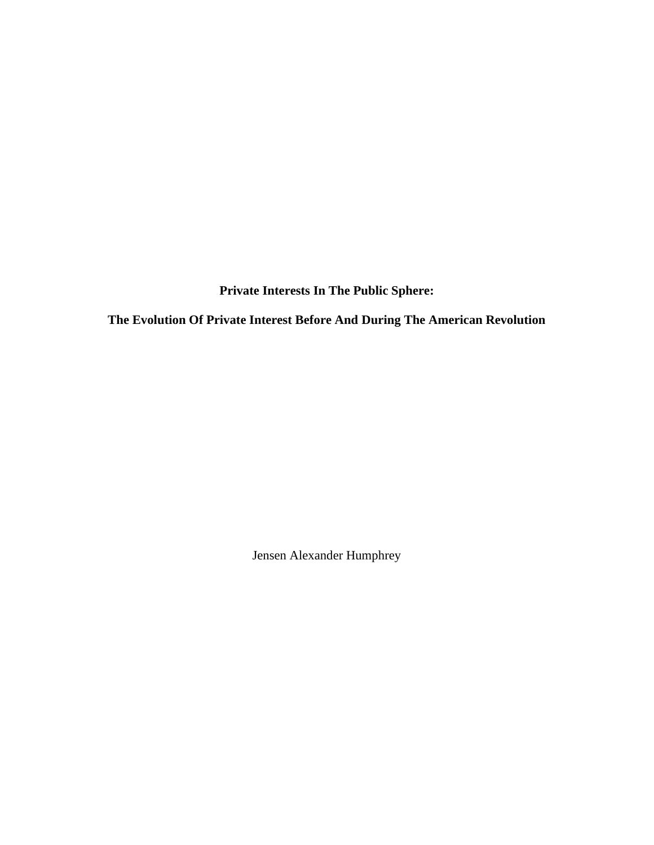**Private Interests In The Public Sphere:** 

**The Evolution Of Private Interest Before And During The American Revolution**

Jensen Alexander Humphrey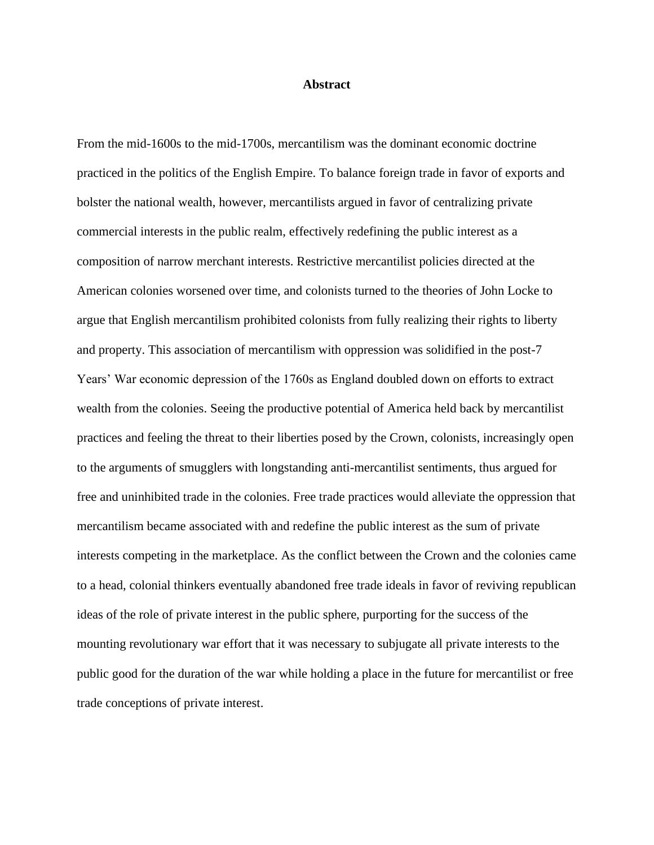#### **Abstract**

From the mid-1600s to the mid-1700s, mercantilism was the dominant economic doctrine practiced in the politics of the English Empire. To balance foreign trade in favor of exports and bolster the national wealth, however, mercantilists argued in favor of centralizing private commercial interests in the public realm, effectively redefining the public interest as a composition of narrow merchant interests. Restrictive mercantilist policies directed at the American colonies worsened over time, and colonists turned to the theories of John Locke to argue that English mercantilism prohibited colonists from fully realizing their rights to liberty and property. This association of mercantilism with oppression was solidified in the post-7 Years' War economic depression of the 1760s as England doubled down on efforts to extract wealth from the colonies. Seeing the productive potential of America held back by mercantilist practices and feeling the threat to their liberties posed by the Crown, colonists, increasingly open to the arguments of smugglers with longstanding anti-mercantilist sentiments, thus argued for free and uninhibited trade in the colonies. Free trade practices would alleviate the oppression that mercantilism became associated with and redefine the public interest as the sum of private interests competing in the marketplace. As the conflict between the Crown and the colonies came to a head, colonial thinkers eventually abandoned free trade ideals in favor of reviving republican ideas of the role of private interest in the public sphere, purporting for the success of the mounting revolutionary war effort that it was necessary to subjugate all private interests to the public good for the duration of the war while holding a place in the future for mercantilist or free trade conceptions of private interest.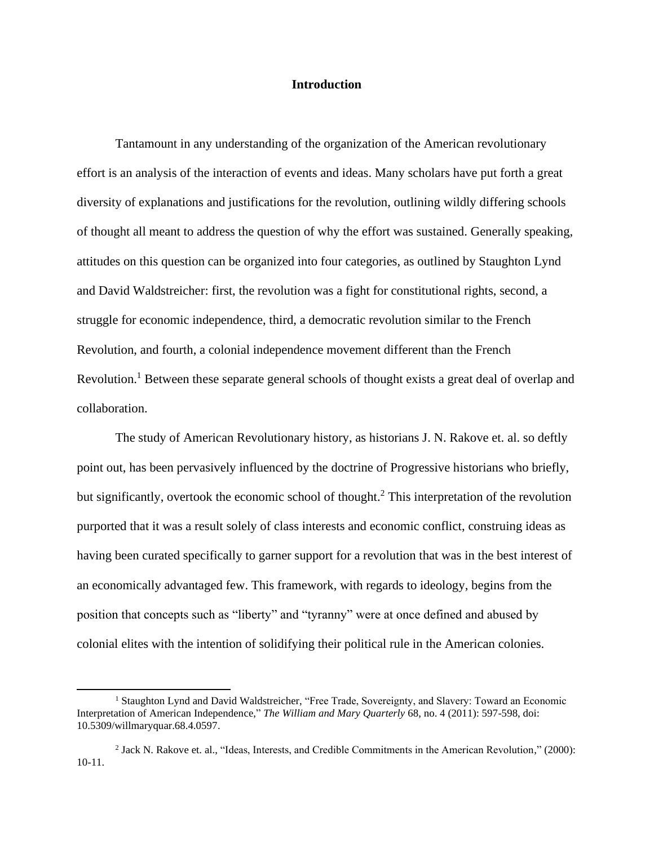# **Introduction**

Tantamount in any understanding of the organization of the American revolutionary effort is an analysis of the interaction of events and ideas. Many scholars have put forth a great diversity of explanations and justifications for the revolution, outlining wildly differing schools of thought all meant to address the question of why the effort was sustained. Generally speaking, attitudes on this question can be organized into four categories, as outlined by Staughton Lynd and David Waldstreicher: first, the revolution was a fight for constitutional rights, second, a struggle for economic independence, third, a democratic revolution similar to the French Revolution, and fourth, a colonial independence movement different than the French Revolution.<sup>1</sup> Between these separate general schools of thought exists a great deal of overlap and collaboration.

The study of American Revolutionary history, as historians J. N. Rakove et. al. so deftly point out, has been pervasively influenced by the doctrine of Progressive historians who briefly, but significantly, overtook the economic school of thought.<sup>2</sup> This interpretation of the revolution purported that it was a result solely of class interests and economic conflict, construing ideas as having been curated specifically to garner support for a revolution that was in the best interest of an economically advantaged few. This framework, with regards to ideology, begins from the position that concepts such as "liberty" and "tyranny" were at once defined and abused by colonial elites with the intention of solidifying their political rule in the American colonies.

<sup>1</sup> Staughton Lynd and David Waldstreicher, "Free Trade, Sovereignty, and Slavery: Toward an Economic Interpretation of American Independence," *The William and Mary Quarterly* 68, no. 4 (2011): 597-598, doi: 10.5309/willmaryquar.68.4.0597.

<sup>&</sup>lt;sup>2</sup> Jack N. Rakove et. al., "Ideas, Interests, and Credible Commitments in the American Revolution," (2000): 10-11.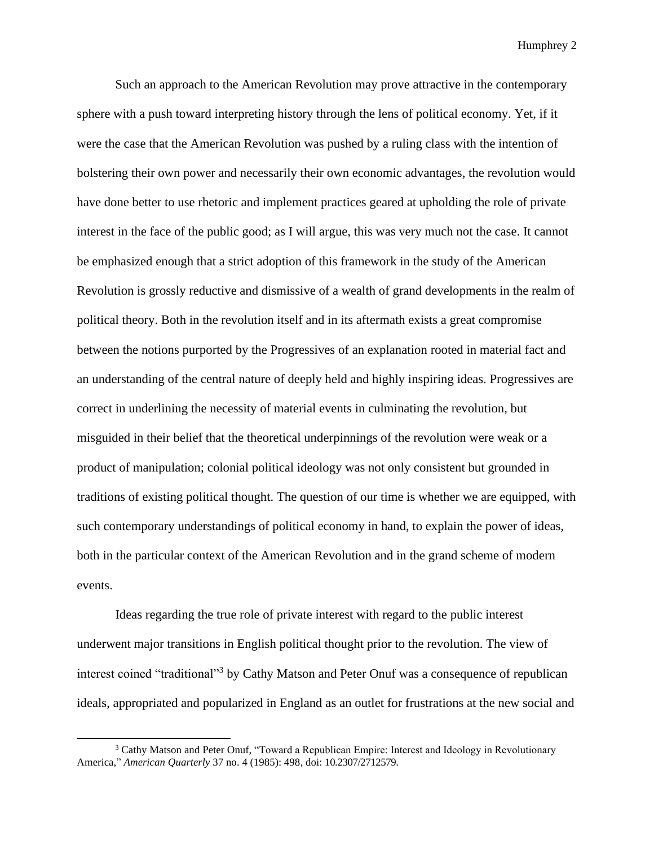Such an approach to the American Revolution may prove attractive in the contemporary sphere with a push toward interpreting history through the lens of political economy. Yet, if it were the case that the American Revolution was pushed by a ruling class with the intention of bolstering their own power and necessarily their own economic advantages, the revolution would have done better to use rhetoric and implement practices geared at upholding the role of private interest in the face of the public good; as I will argue, this was very much not the case. It cannot be emphasized enough that a strict adoption of this framework in the study of the American Revolution is grossly reductive and dismissive of a wealth of grand developments in the realm of political theory. Both in the revolution itself and in its aftermath exists a great compromise between the notions purported by the Progressives of an explanation rooted in material fact and an understanding of the central nature of deeply held and highly inspiring ideas. Progressives are correct in underlining the necessity of material events in culminating the revolution, but misguided in their belief that the theoretical underpinnings of the revolution were weak or a product of manipulation; colonial political ideology was not only consistent but grounded in traditions of existing political thought. The question of our time is whether we are equipped, with such contemporary understandings of political economy in hand, to explain the power of ideas, both in the particular context of the American Revolution and in the grand scheme of modern events.

Ideas regarding the true role of private interest with regard to the public interest underwent major transitions in English political thought prior to the revolution. The view of interest coined "traditional"<sup>3</sup> by Cathy Matson and Peter Onuf was a consequence of republican ideals, appropriated and popularized in England as an outlet for frustrations at the new social and

<sup>&</sup>lt;sup>3</sup> Cathy Matson and Peter Onuf, "Toward a Republican Empire: Interest and Ideology in Revolutionary America," *American Quarterly* 37 no. 4 (1985): 498, doi: 10.2307/2712579.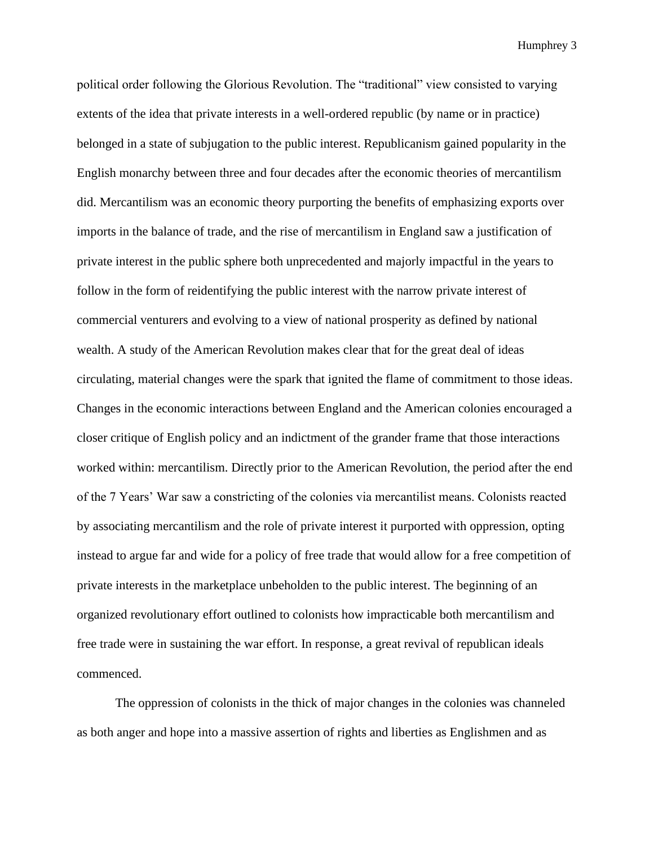political order following the Glorious Revolution. The "traditional" view consisted to varying extents of the idea that private interests in a well-ordered republic (by name or in practice) belonged in a state of subjugation to the public interest. Republicanism gained popularity in the English monarchy between three and four decades after the economic theories of mercantilism did. Mercantilism was an economic theory purporting the benefits of emphasizing exports over imports in the balance of trade, and the rise of mercantilism in England saw a justification of private interest in the public sphere both unprecedented and majorly impactful in the years to follow in the form of reidentifying the public interest with the narrow private interest of commercial venturers and evolving to a view of national prosperity as defined by national wealth. A study of the American Revolution makes clear that for the great deal of ideas circulating, material changes were the spark that ignited the flame of commitment to those ideas. Changes in the economic interactions between England and the American colonies encouraged a closer critique of English policy and an indictment of the grander frame that those interactions worked within: mercantilism. Directly prior to the American Revolution, the period after the end of the 7 Years' War saw a constricting of the colonies via mercantilist means. Colonists reacted by associating mercantilism and the role of private interest it purported with oppression, opting instead to argue far and wide for a policy of free trade that would allow for a free competition of private interests in the marketplace unbeholden to the public interest. The beginning of an organized revolutionary effort outlined to colonists how impracticable both mercantilism and free trade were in sustaining the war effort. In response, a great revival of republican ideals commenced.

The oppression of colonists in the thick of major changes in the colonies was channeled as both anger and hope into a massive assertion of rights and liberties as Englishmen and as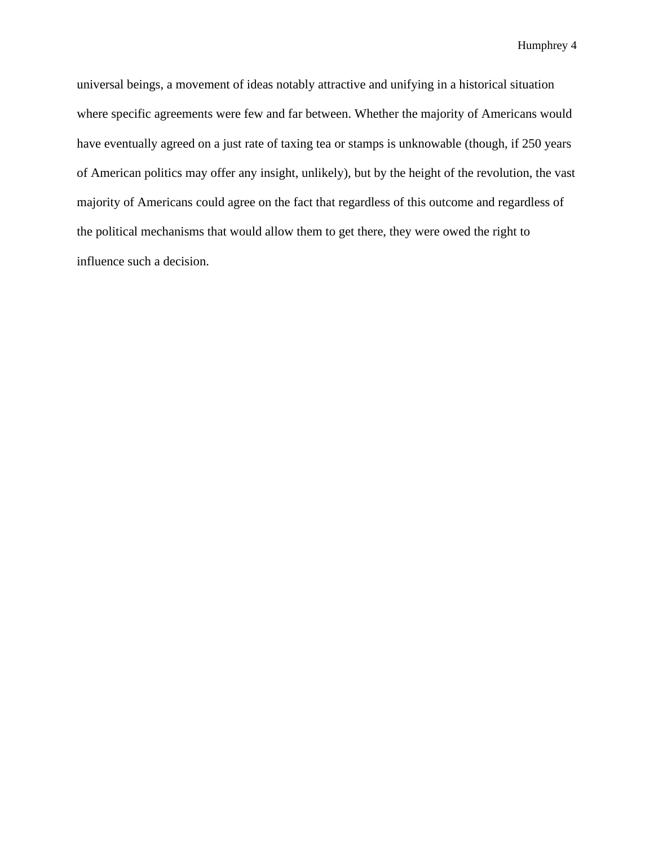universal beings, a movement of ideas notably attractive and unifying in a historical situation where specific agreements were few and far between. Whether the majority of Americans would have eventually agreed on a just rate of taxing tea or stamps is unknowable (though, if 250 years of American politics may offer any insight, unlikely), but by the height of the revolution, the vast majority of Americans could agree on the fact that regardless of this outcome and regardless of the political mechanisms that would allow them to get there, they were owed the right to influence such a decision.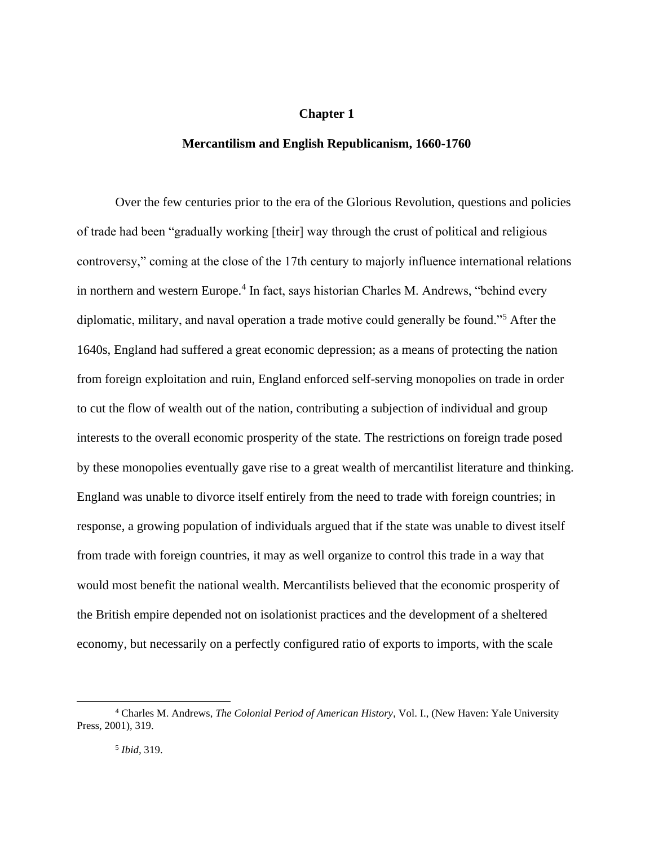# **Chapter 1**

#### **Mercantilism and English Republicanism, 1660-1760**

Over the few centuries prior to the era of the Glorious Revolution, questions and policies of trade had been "gradually working [their] way through the crust of political and religious controversy," coming at the close of the 17th century to majorly influence international relations in northern and western Europe.<sup>4</sup> In fact, says historian Charles M. Andrews, "behind every diplomatic, military, and naval operation a trade motive could generally be found."<sup>5</sup> After the 1640s, England had suffered a great economic depression; as a means of protecting the nation from foreign exploitation and ruin, England enforced self-serving monopolies on trade in order to cut the flow of wealth out of the nation, contributing a subjection of individual and group interests to the overall economic prosperity of the state. The restrictions on foreign trade posed by these monopolies eventually gave rise to a great wealth of mercantilist literature and thinking. England was unable to divorce itself entirely from the need to trade with foreign countries; in response, a growing population of individuals argued that if the state was unable to divest itself from trade with foreign countries, it may as well organize to control this trade in a way that would most benefit the national wealth. Mercantilists believed that the economic prosperity of the British empire depended not on isolationist practices and the development of a sheltered economy, but necessarily on a perfectly configured ratio of exports to imports, with the scale

<sup>4</sup> Charles M. Andrews, *The Colonial Period of American History*, Vol. I., (New Haven: Yale University Press, 2001), 319.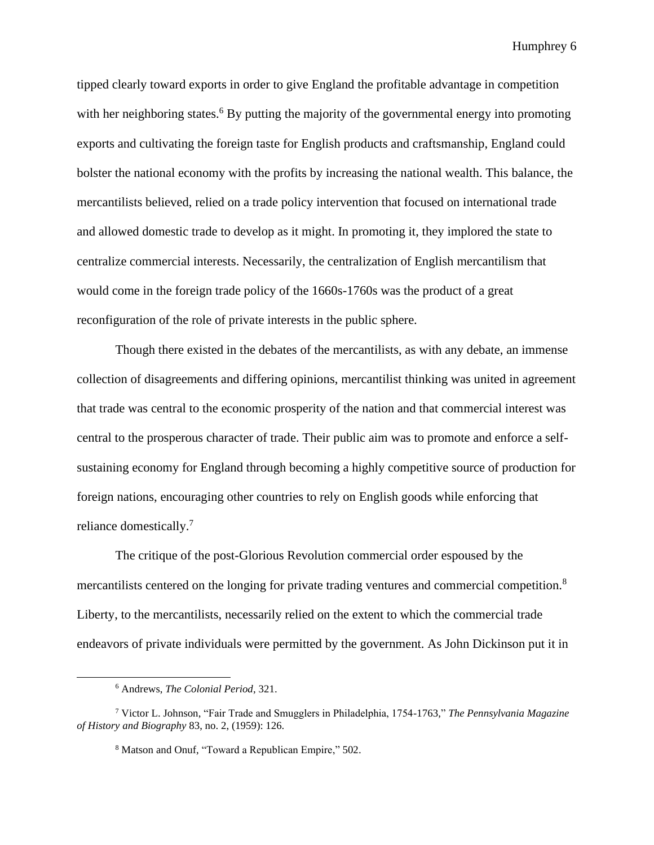tipped clearly toward exports in order to give England the profitable advantage in competition with her neighboring states.<sup>6</sup> By putting the majority of the governmental energy into promoting exports and cultivating the foreign taste for English products and craftsmanship, England could bolster the national economy with the profits by increasing the national wealth. This balance, the mercantilists believed, relied on a trade policy intervention that focused on international trade and allowed domestic trade to develop as it might. In promoting it, they implored the state to centralize commercial interests. Necessarily, the centralization of English mercantilism that would come in the foreign trade policy of the 1660s-1760s was the product of a great reconfiguration of the role of private interests in the public sphere.

Though there existed in the debates of the mercantilists, as with any debate, an immense collection of disagreements and differing opinions, mercantilist thinking was united in agreement that trade was central to the economic prosperity of the nation and that commercial interest was central to the prosperous character of trade. Their public aim was to promote and enforce a selfsustaining economy for England through becoming a highly competitive source of production for foreign nations, encouraging other countries to rely on English goods while enforcing that reliance domestically.<sup>7</sup>

The critique of the post-Glorious Revolution commercial order espoused by the mercantilists centered on the longing for private trading ventures and commercial competition.<sup>8</sup> Liberty, to the mercantilists, necessarily relied on the extent to which the commercial trade endeavors of private individuals were permitted by the government. As John Dickinson put it in

<sup>6</sup> Andrews, *The Colonial Period*, 321.

<sup>7</sup> Victor L. Johnson, "Fair Trade and Smugglers in Philadelphia, 1754-1763*,*" *The Pennsylvania Magazine of History and Biography* 83, no. 2, (1959): 126.

<sup>8</sup> Matson and Onuf, "Toward a Republican Empire," 502.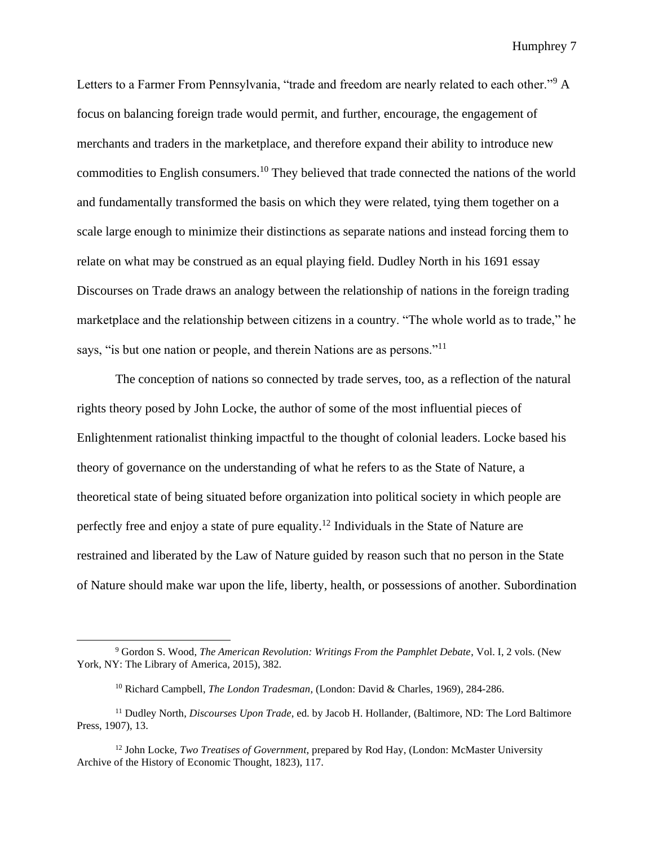Letters to a Farmer From Pennsylvania, "trade and freedom are nearly related to each other."<sup>9</sup> A focus on balancing foreign trade would permit, and further, encourage, the engagement of merchants and traders in the marketplace, and therefore expand their ability to introduce new commodities to English consumers.<sup>10</sup> They believed that trade connected the nations of the world and fundamentally transformed the basis on which they were related, tying them together on a scale large enough to minimize their distinctions as separate nations and instead forcing them to relate on what may be construed as an equal playing field. Dudley North in his 1691 essay Discourses on Trade draws an analogy between the relationship of nations in the foreign trading marketplace and the relationship between citizens in a country. "The whole world as to trade," he says, "is but one nation or people, and therein Nations are as persons."<sup>11</sup>

The conception of nations so connected by trade serves, too, as a reflection of the natural rights theory posed by John Locke, the author of some of the most influential pieces of Enlightenment rationalist thinking impactful to the thought of colonial leaders. Locke based his theory of governance on the understanding of what he refers to as the State of Nature, a theoretical state of being situated before organization into political society in which people are perfectly free and enjoy a state of pure equality.<sup>12</sup> Individuals in the State of Nature are restrained and liberated by the Law of Nature guided by reason such that no person in the State of Nature should make war upon the life, liberty, health, or possessions of another. Subordination

<sup>9</sup> Gordon S. Wood, *The American Revolution: Writings From the Pamphlet Debate*, Vol. I, 2 vols. (New York, NY: The Library of America, 2015), 382.

<sup>10</sup> Richard Campbell, *The London Tradesman,* (London: David & Charles, 1969), 284-286.

<sup>11</sup> Dudley North, *Discourses Upon Trade*, ed. by Jacob H. Hollander, (Baltimore, ND: The Lord Baltimore Press, 1907), 13.

<sup>12</sup> John Locke, *Two Treatises of Government*, prepared by Rod Hay, (London: McMaster University Archive of the History of Economic Thought, 1823), 117.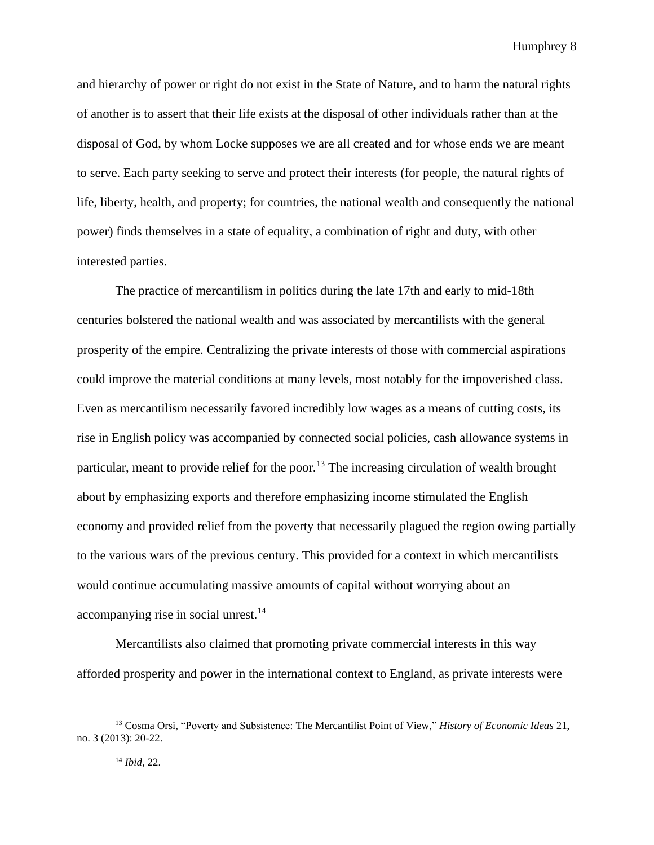and hierarchy of power or right do not exist in the State of Nature, and to harm the natural rights of another is to assert that their life exists at the disposal of other individuals rather than at the disposal of God, by whom Locke supposes we are all created and for whose ends we are meant to serve. Each party seeking to serve and protect their interests (for people, the natural rights of life, liberty, health, and property; for countries, the national wealth and consequently the national power) finds themselves in a state of equality, a combination of right and duty, with other interested parties.

The practice of mercantilism in politics during the late 17th and early to mid-18th centuries bolstered the national wealth and was associated by mercantilists with the general prosperity of the empire. Centralizing the private interests of those with commercial aspirations could improve the material conditions at many levels, most notably for the impoverished class. Even as mercantilism necessarily favored incredibly low wages as a means of cutting costs, its rise in English policy was accompanied by connected social policies, cash allowance systems in particular, meant to provide relief for the poor.<sup>13</sup> The increasing circulation of wealth brought about by emphasizing exports and therefore emphasizing income stimulated the English economy and provided relief from the poverty that necessarily plagued the region owing partially to the various wars of the previous century. This provided for a context in which mercantilists would continue accumulating massive amounts of capital without worrying about an accompanying rise in social unrest.<sup>14</sup>

Mercantilists also claimed that promoting private commercial interests in this way afforded prosperity and power in the international context to England, as private interests were

<sup>13</sup> Cosma Orsi, "Poverty and Subsistence: The Mercantilist Point of View," *History of Economic Ideas* 21, no. 3 (2013): 20-22.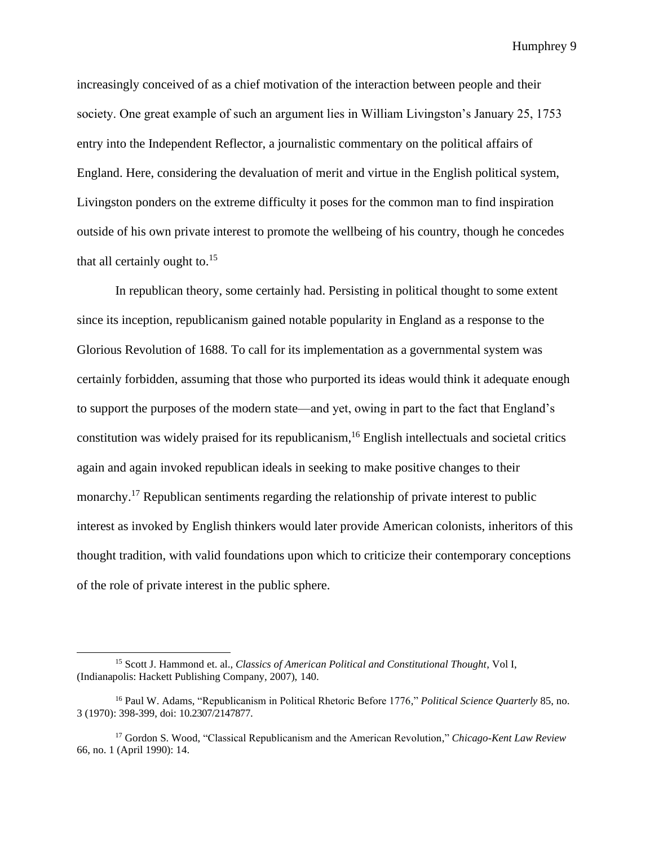increasingly conceived of as a chief motivation of the interaction between people and their society. One great example of such an argument lies in William Livingston's January 25, 1753 entry into the Independent Reflector, a journalistic commentary on the political affairs of England. Here, considering the devaluation of merit and virtue in the English political system, Livingston ponders on the extreme difficulty it poses for the common man to find inspiration outside of his own private interest to promote the wellbeing of his country, though he concedes that all certainly ought to. $15$ 

In republican theory, some certainly had. Persisting in political thought to some extent since its inception, republicanism gained notable popularity in England as a response to the Glorious Revolution of 1688. To call for its implementation as a governmental system was certainly forbidden, assuming that those who purported its ideas would think it adequate enough to support the purposes of the modern state—and yet, owing in part to the fact that England's constitution was widely praised for its republicanism, $16$  English intellectuals and societal critics again and again invoked republican ideals in seeking to make positive changes to their monarchy.<sup>17</sup> Republican sentiments regarding the relationship of private interest to public interest as invoked by English thinkers would later provide American colonists, inheritors of this thought tradition, with valid foundations upon which to criticize their contemporary conceptions of the role of private interest in the public sphere.

<sup>15</sup> Scott J. Hammond et. al., *Classics of American Political and Constitutional Thought*, Vol I, (Indianapolis: Hackett Publishing Company, 2007), 140.

<sup>16</sup> Paul W. Adams, "Republicanism in Political Rhetoric Before 1776," *Political Science Quarterly* 85, no. 3 (1970): 398-399, doi: 10.2307/2147877.

<sup>17</sup> Gordon S. Wood, "Classical Republicanism and the American Revolution," *Chicago-Kent Law Review* 66, no. 1 (April 1990): 14.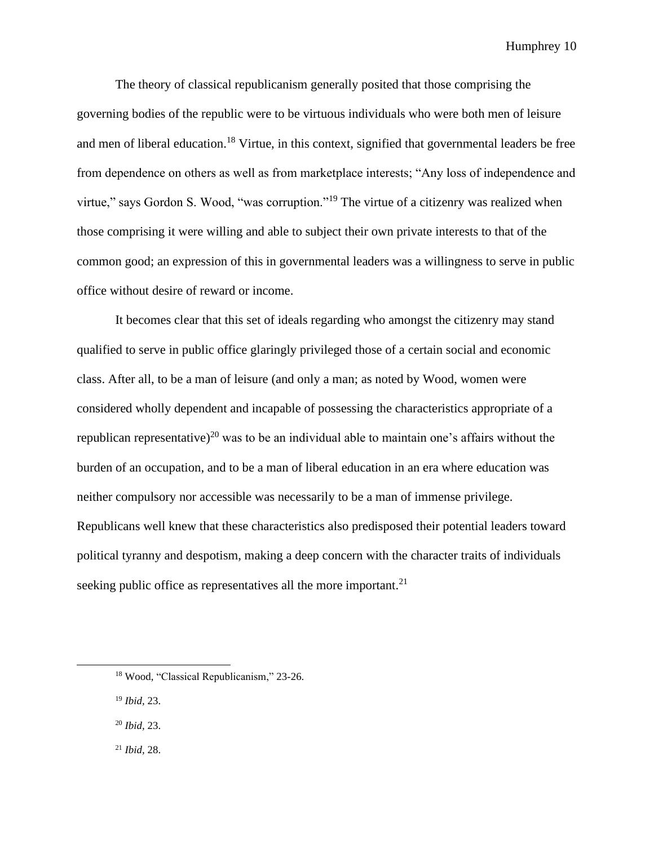The theory of classical republicanism generally posited that those comprising the governing bodies of the republic were to be virtuous individuals who were both men of leisure and men of liberal education.<sup>18</sup> Virtue, in this context, signified that governmental leaders be free from dependence on others as well as from marketplace interests; "Any loss of independence and virtue," says Gordon S. Wood, "was corruption."<sup>19</sup> The virtue of a citizenry was realized when those comprising it were willing and able to subject their own private interests to that of the common good; an expression of this in governmental leaders was a willingness to serve in public office without desire of reward or income.

It becomes clear that this set of ideals regarding who amongst the citizenry may stand qualified to serve in public office glaringly privileged those of a certain social and economic class. After all, to be a man of leisure (and only a man; as noted by Wood, women were considered wholly dependent and incapable of possessing the characteristics appropriate of a republican representative)<sup>20</sup> was to be an individual able to maintain one's affairs without the burden of an occupation, and to be a man of liberal education in an era where education was neither compulsory nor accessible was necessarily to be a man of immense privilege. Republicans well knew that these characteristics also predisposed their potential leaders toward political tyranny and despotism, making a deep concern with the character traits of individuals seeking public office as representatives all the more important.<sup>21</sup>

<sup>19</sup> *Ibid,* 23.

<sup>20</sup> *Ibid,* 23.

<sup>21</sup> *Ibid,* 28.

<sup>18</sup> Wood, "Classical Republicanism," 23-26.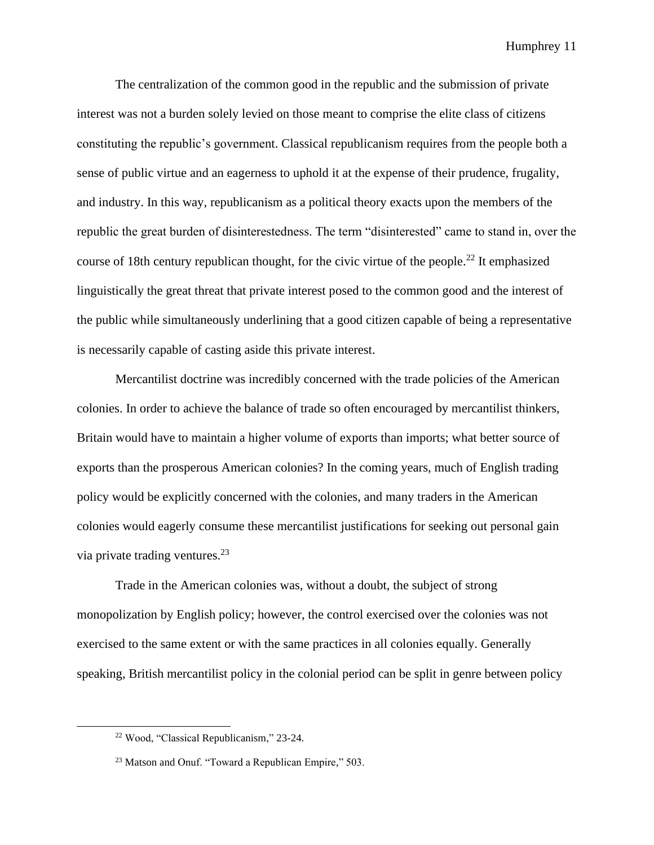The centralization of the common good in the republic and the submission of private interest was not a burden solely levied on those meant to comprise the elite class of citizens constituting the republic's government. Classical republicanism requires from the people both a sense of public virtue and an eagerness to uphold it at the expense of their prudence, frugality, and industry. In this way, republicanism as a political theory exacts upon the members of the republic the great burden of disinterestedness. The term "disinterested" came to stand in, over the course of 18th century republican thought, for the civic virtue of the people.<sup>22</sup> It emphasized linguistically the great threat that private interest posed to the common good and the interest of the public while simultaneously underlining that a good citizen capable of being a representative is necessarily capable of casting aside this private interest.

Mercantilist doctrine was incredibly concerned with the trade policies of the American colonies. In order to achieve the balance of trade so often encouraged by mercantilist thinkers, Britain would have to maintain a higher volume of exports than imports; what better source of exports than the prosperous American colonies? In the coming years, much of English trading policy would be explicitly concerned with the colonies, and many traders in the American colonies would eagerly consume these mercantilist justifications for seeking out personal gain via private trading ventures. $^{23}$ 

Trade in the American colonies was, without a doubt, the subject of strong monopolization by English policy; however, the control exercised over the colonies was not exercised to the same extent or with the same practices in all colonies equally. Generally speaking, British mercantilist policy in the colonial period can be split in genre between policy

<sup>22</sup> Wood, "Classical Republicanism," 23-24.

<sup>23</sup> Matson and Onuf. "Toward a Republican Empire," 503.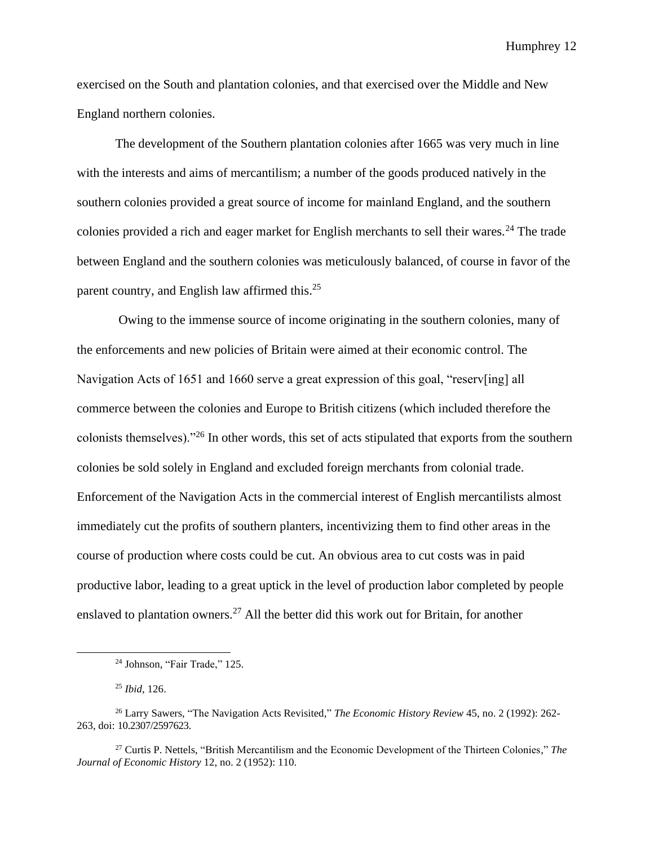exercised on the South and plantation colonies, and that exercised over the Middle and New England northern colonies.

The development of the Southern plantation colonies after 1665 was very much in line with the interests and aims of mercantilism; a number of the goods produced natively in the southern colonies provided a great source of income for mainland England, and the southern colonies provided a rich and eager market for English merchants to sell their wares.<sup>24</sup> The trade between England and the southern colonies was meticulously balanced, of course in favor of the parent country, and English law affirmed this.<sup>25</sup>

Owing to the immense source of income originating in the southern colonies, many of the enforcements and new policies of Britain were aimed at their economic control. The Navigation Acts of 1651 and 1660 serve a great expression of this goal, "reserv[ing] all commerce between the colonies and Europe to British citizens (which included therefore the colonists themselves)."<sup>26</sup> In other words, this set of acts stipulated that exports from the southern colonies be sold solely in England and excluded foreign merchants from colonial trade. Enforcement of the Navigation Acts in the commercial interest of English mercantilists almost immediately cut the profits of southern planters, incentivizing them to find other areas in the course of production where costs could be cut. An obvious area to cut costs was in paid productive labor, leading to a great uptick in the level of production labor completed by people enslaved to plantation owners.<sup>27</sup> All the better did this work out for Britain, for another

<sup>24</sup> Johnson, "Fair Trade," 125.

<sup>25</sup> *Ibid,* 126.

<sup>26</sup> Larry Sawers, "The Navigation Acts Revisited," *The Economic History Review* 45, no. 2 (1992): 262- 263, doi: 10.2307/2597623.

<sup>27</sup> Curtis P. Nettels, "British Mercantilism and the Economic Development of the Thirteen Colonies," *The Journal of Economic History* 12, no. 2 (1952): 110.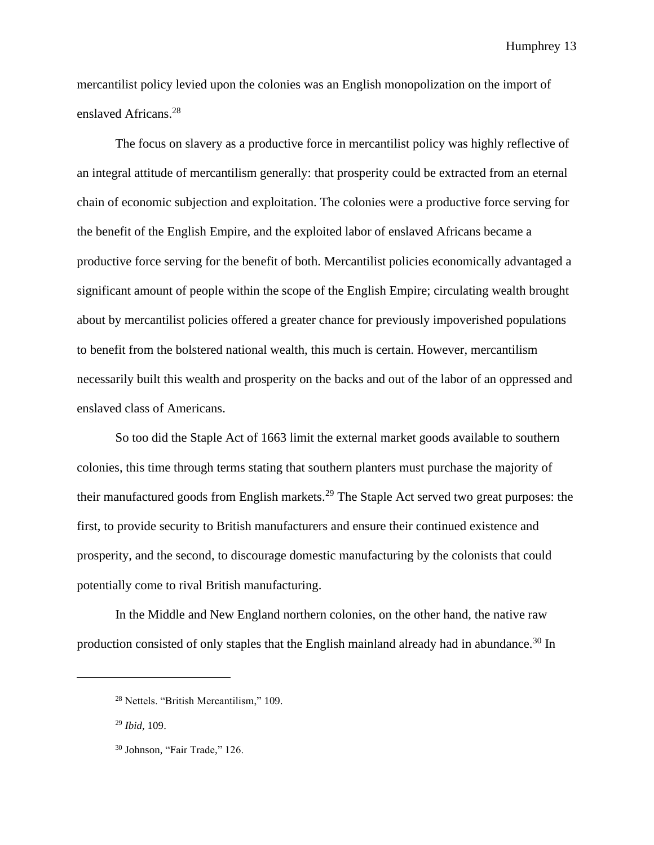mercantilist policy levied upon the colonies was an English monopolization on the import of enslaved Africans.<sup>28</sup>

The focus on slavery as a productive force in mercantilist policy was highly reflective of an integral attitude of mercantilism generally: that prosperity could be extracted from an eternal chain of economic subjection and exploitation. The colonies were a productive force serving for the benefit of the English Empire, and the exploited labor of enslaved Africans became a productive force serving for the benefit of both. Mercantilist policies economically advantaged a significant amount of people within the scope of the English Empire; circulating wealth brought about by mercantilist policies offered a greater chance for previously impoverished populations to benefit from the bolstered national wealth, this much is certain. However, mercantilism necessarily built this wealth and prosperity on the backs and out of the labor of an oppressed and enslaved class of Americans.

So too did the Staple Act of 1663 limit the external market goods available to southern colonies, this time through terms stating that southern planters must purchase the majority of their manufactured goods from English markets.<sup>29</sup> The Staple Act served two great purposes: the first, to provide security to British manufacturers and ensure their continued existence and prosperity, and the second, to discourage domestic manufacturing by the colonists that could potentially come to rival British manufacturing.

In the Middle and New England northern colonies, on the other hand, the native raw production consisted of only staples that the English mainland already had in abundance.<sup>30</sup> In

<sup>28</sup> Nettels. "British Mercantilism," 109.

<sup>29</sup> *Ibid,* 109.

<sup>30</sup> Johnson, "Fair Trade*,*" 126.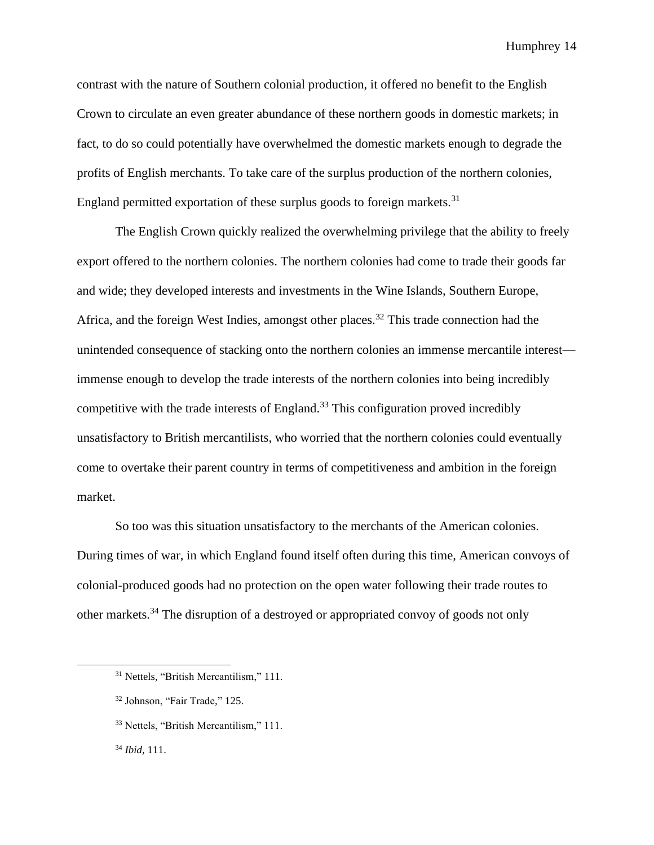contrast with the nature of Southern colonial production, it offered no benefit to the English Crown to circulate an even greater abundance of these northern goods in domestic markets; in fact, to do so could potentially have overwhelmed the domestic markets enough to degrade the profits of English merchants. To take care of the surplus production of the northern colonies, England permitted exportation of these surplus goods to foreign markets.<sup>31</sup>

The English Crown quickly realized the overwhelming privilege that the ability to freely export offered to the northern colonies. The northern colonies had come to trade their goods far and wide; they developed interests and investments in the Wine Islands, Southern Europe, Africa, and the foreign West Indies, amongst other places.<sup>32</sup> This trade connection had the unintended consequence of stacking onto the northern colonies an immense mercantile interest immense enough to develop the trade interests of the northern colonies into being incredibly competitive with the trade interests of England.<sup>33</sup> This configuration proved incredibly unsatisfactory to British mercantilists, who worried that the northern colonies could eventually come to overtake their parent country in terms of competitiveness and ambition in the foreign market.

So too was this situation unsatisfactory to the merchants of the American colonies. During times of war, in which England found itself often during this time, American convoys of colonial-produced goods had no protection on the open water following their trade routes to other markets.<sup>34</sup> The disruption of a destroyed or appropriated convoy of goods not only

<sup>&</sup>lt;sup>31</sup> Nettels, "British Mercantilism," 111.

<sup>32</sup> Johnson, "Fair Trade*,*" 125.

<sup>33</sup> Nettels, "British Mercantilism," 111.

<sup>34</sup> *Ibid,* 111.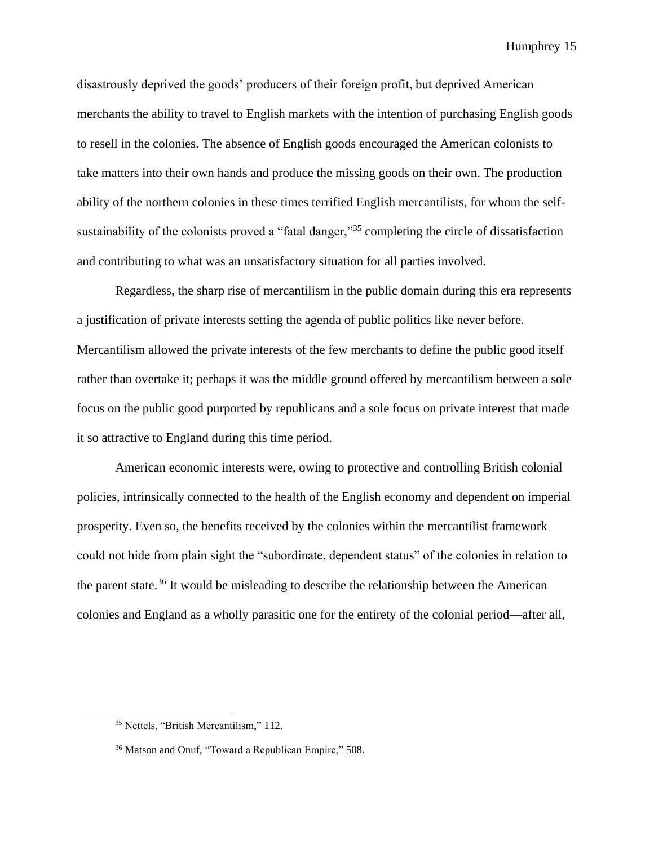disastrously deprived the goods' producers of their foreign profit, but deprived American merchants the ability to travel to English markets with the intention of purchasing English goods to resell in the colonies. The absence of English goods encouraged the American colonists to take matters into their own hands and produce the missing goods on their own. The production ability of the northern colonies in these times terrified English mercantilists, for whom the selfsustainability of the colonists proved a "fatal danger,"<sup>35</sup> completing the circle of dissatisfaction and contributing to what was an unsatisfactory situation for all parties involved.

Regardless, the sharp rise of mercantilism in the public domain during this era represents a justification of private interests setting the agenda of public politics like never before. Mercantilism allowed the private interests of the few merchants to define the public good itself rather than overtake it; perhaps it was the middle ground offered by mercantilism between a sole focus on the public good purported by republicans and a sole focus on private interest that made it so attractive to England during this time period.

American economic interests were, owing to protective and controlling British colonial policies, intrinsically connected to the health of the English economy and dependent on imperial prosperity. Even so, the benefits received by the colonies within the mercantilist framework could not hide from plain sight the "subordinate, dependent status" of the colonies in relation to the parent state.<sup>36</sup> It would be misleading to describe the relationship between the American colonies and England as a wholly parasitic one for the entirety of the colonial period—after all,

<sup>35</sup> Nettels, "British Mercantilism," 112.

<sup>36</sup> Matson and Onuf, "Toward a Republican Empire," 508.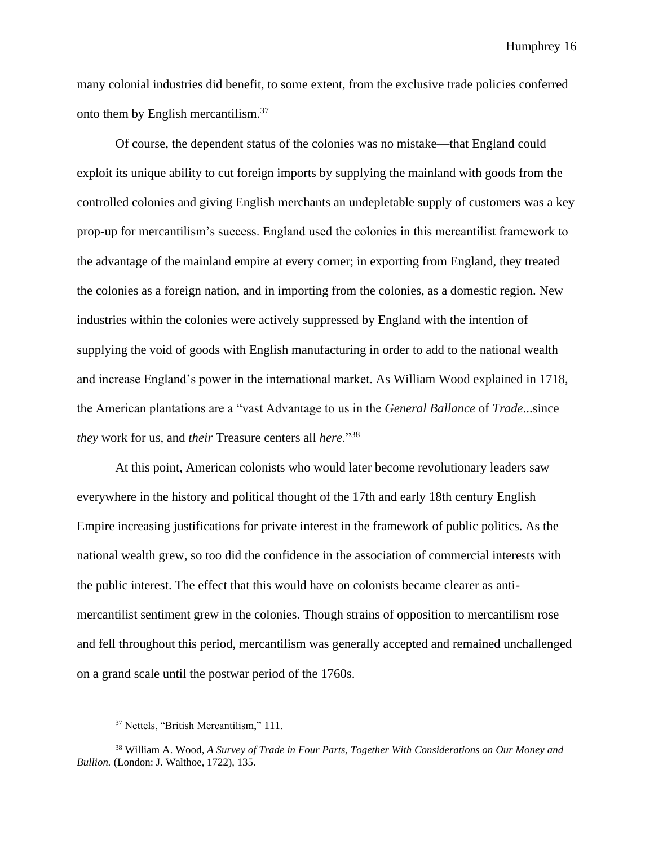many colonial industries did benefit, to some extent, from the exclusive trade policies conferred onto them by English mercantilism.<sup>37</sup>

Of course, the dependent status of the colonies was no mistake—that England could exploit its unique ability to cut foreign imports by supplying the mainland with goods from the controlled colonies and giving English merchants an undepletable supply of customers was a key prop-up for mercantilism's success. England used the colonies in this mercantilist framework to the advantage of the mainland empire at every corner; in exporting from England, they treated the colonies as a foreign nation, and in importing from the colonies, as a domestic region. New industries within the colonies were actively suppressed by England with the intention of supplying the void of goods with English manufacturing in order to add to the national wealth and increase England's power in the international market. As William Wood explained in 1718, the American plantations are a "vast Advantage to us in the *General Ballance* of *Trade*...since *they* work for us, and *their* Treasure centers all *here*."<sup>38</sup>

At this point, American colonists who would later become revolutionary leaders saw everywhere in the history and political thought of the 17th and early 18th century English Empire increasing justifications for private interest in the framework of public politics. As the national wealth grew, so too did the confidence in the association of commercial interests with the public interest. The effect that this would have on colonists became clearer as antimercantilist sentiment grew in the colonies. Though strains of opposition to mercantilism rose and fell throughout this period, mercantilism was generally accepted and remained unchallenged on a grand scale until the postwar period of the 1760s.

<sup>37</sup> Nettels, "British Mercantilism," 111.

<sup>38</sup> William A. Wood, *A Survey of Trade in Four Parts, Together With Considerations on Our Money and Bullion.* (London: J. Walthoe, 1722), 135.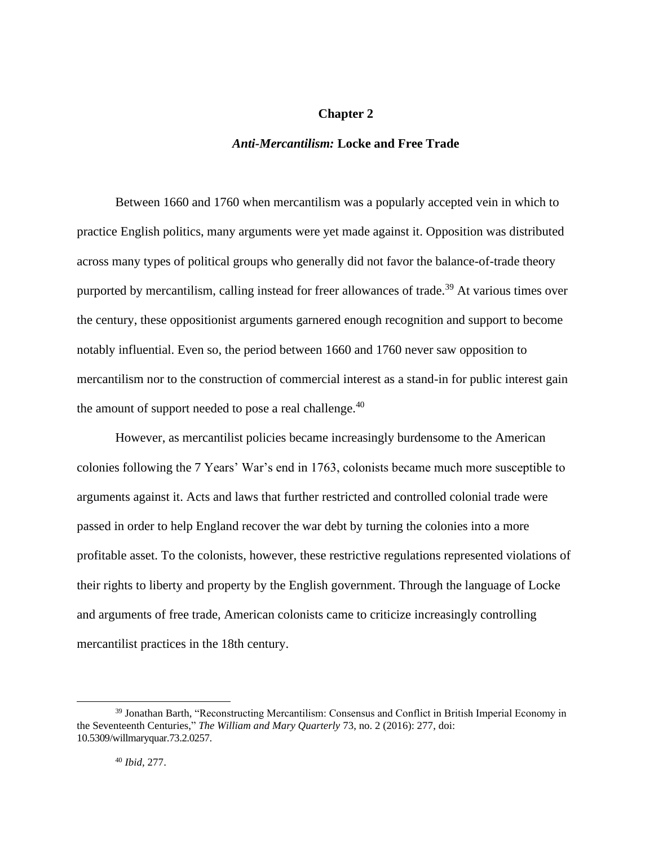# **Chapter 2**

#### *Anti-Mercantilism:* **Locke and Free Trade**

Between 1660 and 1760 when mercantilism was a popularly accepted vein in which to practice English politics, many arguments were yet made against it. Opposition was distributed across many types of political groups who generally did not favor the balance-of-trade theory purported by mercantilism, calling instead for freer allowances of trade.<sup>39</sup> At various times over the century, these oppositionist arguments garnered enough recognition and support to become notably influential. Even so, the period between 1660 and 1760 never saw opposition to mercantilism nor to the construction of commercial interest as a stand-in for public interest gain the amount of support needed to pose a real challenge. $40$ 

However, as mercantilist policies became increasingly burdensome to the American colonies following the 7 Years' War's end in 1763, colonists became much more susceptible to arguments against it. Acts and laws that further restricted and controlled colonial trade were passed in order to help England recover the war debt by turning the colonies into a more profitable asset. To the colonists, however, these restrictive regulations represented violations of their rights to liberty and property by the English government. Through the language of Locke and arguments of free trade, American colonists came to criticize increasingly controlling mercantilist practices in the 18th century.

<sup>39</sup> Jonathan Barth, "Reconstructing Mercantilism: Consensus and Conflict in British Imperial Economy in the Seventeenth Centuries," *The William and Mary Quarterly* 73, no. 2 (2016): 277, doi: [10.5309/willmaryquar.73.2.0257.](https://doi.org/10.5309/willmaryquar.73.2.0257)

<sup>40</sup> *Ibid,* 277.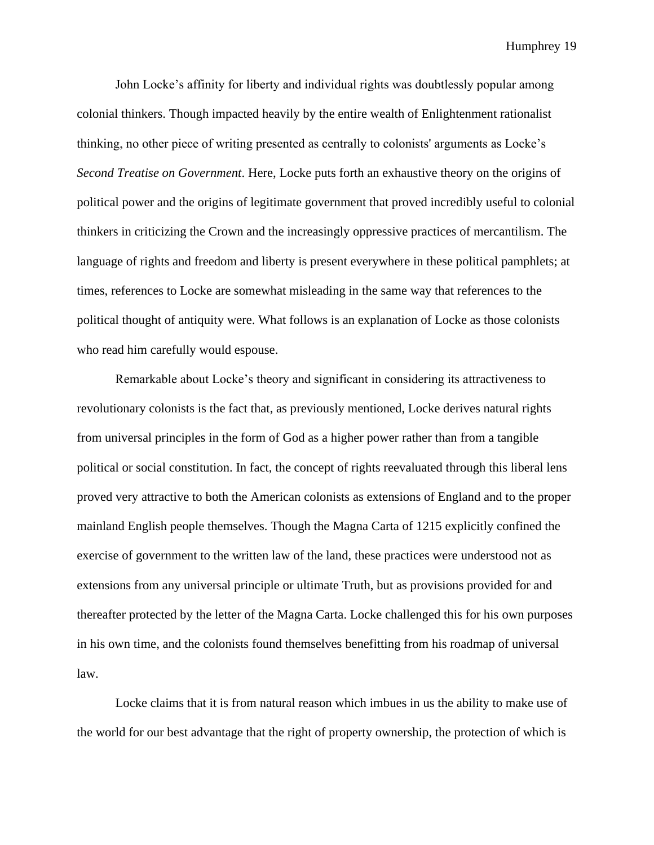John Locke's affinity for liberty and individual rights was doubtlessly popular among colonial thinkers. Though impacted heavily by the entire wealth of Enlightenment rationalist thinking, no other piece of writing presented as centrally to colonists' arguments as Locke's *Second Treatise on Government*. Here, Locke puts forth an exhaustive theory on the origins of political power and the origins of legitimate government that proved incredibly useful to colonial thinkers in criticizing the Crown and the increasingly oppressive practices of mercantilism. The language of rights and freedom and liberty is present everywhere in these political pamphlets; at times, references to Locke are somewhat misleading in the same way that references to the political thought of antiquity were. What follows is an explanation of Locke as those colonists who read him carefully would espouse.

Remarkable about Locke's theory and significant in considering its attractiveness to revolutionary colonists is the fact that, as previously mentioned, Locke derives natural rights from universal principles in the form of God as a higher power rather than from a tangible political or social constitution. In fact, the concept of rights reevaluated through this liberal lens proved very attractive to both the American colonists as extensions of England and to the proper mainland English people themselves. Though the Magna Carta of 1215 explicitly confined the exercise of government to the written law of the land, these practices were understood not as extensions from any universal principle or ultimate Truth, but as provisions provided for and thereafter protected by the letter of the Magna Carta. Locke challenged this for his own purposes in his own time, and the colonists found themselves benefitting from his roadmap of universal law.

Locke claims that it is from natural reason which imbues in us the ability to make use of the world for our best advantage that the right of property ownership, the protection of which is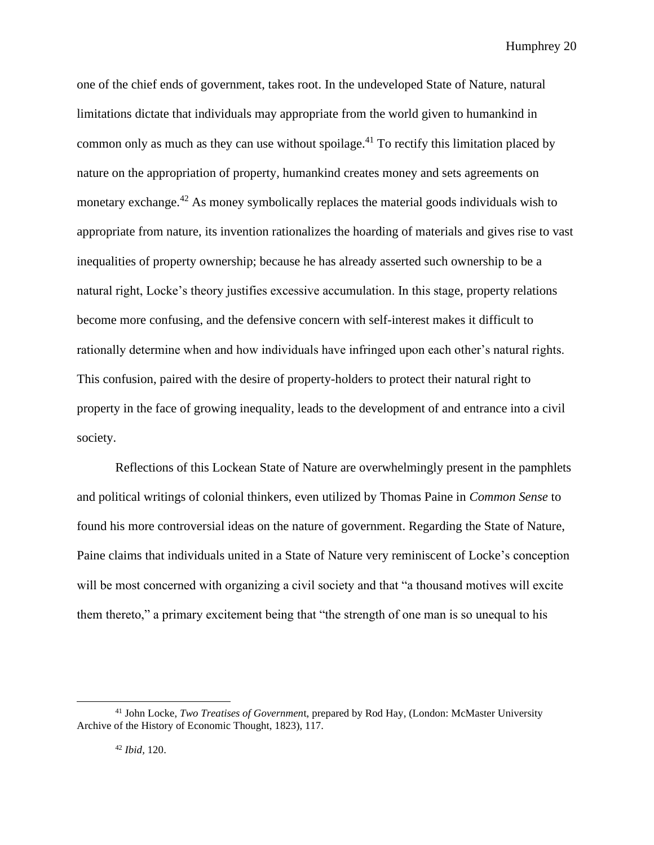one of the chief ends of government, takes root. In the undeveloped State of Nature, natural limitations dictate that individuals may appropriate from the world given to humankind in common only as much as they can use without spoilage.<sup>41</sup> To rectify this limitation placed by nature on the appropriation of property, humankind creates money and sets agreements on monetary exchange.<sup>42</sup> As money symbolically replaces the material goods individuals wish to appropriate from nature, its invention rationalizes the hoarding of materials and gives rise to vast inequalities of property ownership; because he has already asserted such ownership to be a natural right, Locke's theory justifies excessive accumulation. In this stage, property relations become more confusing, and the defensive concern with self-interest makes it difficult to rationally determine when and how individuals have infringed upon each other's natural rights. This confusion, paired with the desire of property-holders to protect their natural right to property in the face of growing inequality, leads to the development of and entrance into a civil society.

Reflections of this Lockean State of Nature are overwhelmingly present in the pamphlets and political writings of colonial thinkers, even utilized by Thomas Paine in *Common Sense* to found his more controversial ideas on the nature of government. Regarding the State of Nature, Paine claims that individuals united in a State of Nature very reminiscent of Locke's conception will be most concerned with organizing a civil society and that "a thousand motives will excite them thereto," a primary excitement being that "the strength of one man is so unequal to his

<sup>41</sup> John Locke, *Two Treatises of Governmen*t, prepared by Rod Hay, (London: McMaster University Archive of the History of Economic Thought, 1823), 117.

<sup>42</sup> *Ibid,* 120.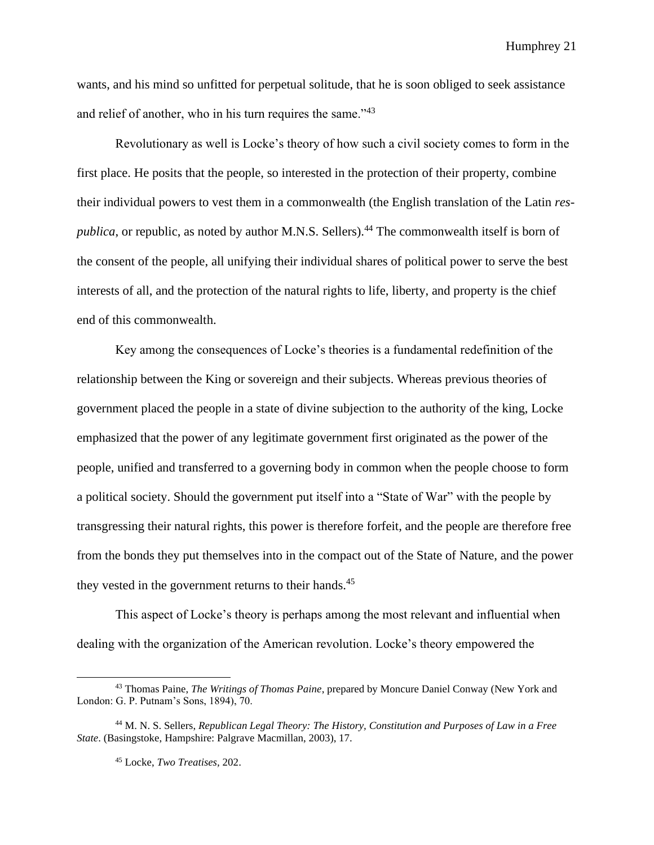wants, and his mind so unfitted for perpetual solitude, that he is soon obliged to seek assistance and relief of another, who in his turn requires the same."<sup>43</sup>

Revolutionary as well is Locke's theory of how such a civil society comes to form in the first place. He posits that the people, so interested in the protection of their property, combine their individual powers to vest them in a commonwealth (the English translation of the Latin *respublica*, or republic, as noted by author M.N.S. Sellers).<sup>44</sup> The commonwealth itself is born of the consent of the people, all unifying their individual shares of political power to serve the best interests of all, and the protection of the natural rights to life, liberty, and property is the chief end of this commonwealth.

Key among the consequences of Locke's theories is a fundamental redefinition of the relationship between the King or sovereign and their subjects. Whereas previous theories of government placed the people in a state of divine subjection to the authority of the king, Locke emphasized that the power of any legitimate government first originated as the power of the people, unified and transferred to a governing body in common when the people choose to form a political society. Should the government put itself into a "State of War" with the people by transgressing their natural rights, this power is therefore forfeit, and the people are therefore free from the bonds they put themselves into in the compact out of the State of Nature, and the power they vested in the government returns to their hands.<sup>45</sup>

This aspect of Locke's theory is perhaps among the most relevant and influential when dealing with the organization of the American revolution. Locke's theory empowered the

<sup>43</sup> Thomas Paine, *The Writings of Thomas Paine*, prepared by Moncure Daniel Conway (New York and London: G. P. Putnam's Sons, 1894), 70.

<sup>44</sup> M. N. S. Sellers, *Republican Legal Theory: The History, Constitution and Purposes of Law in a Free State*. (Basingstoke, Hampshire: Palgrave Macmillan, 2003), 17.

<sup>45</sup> Locke, *Two Treatises,* 202.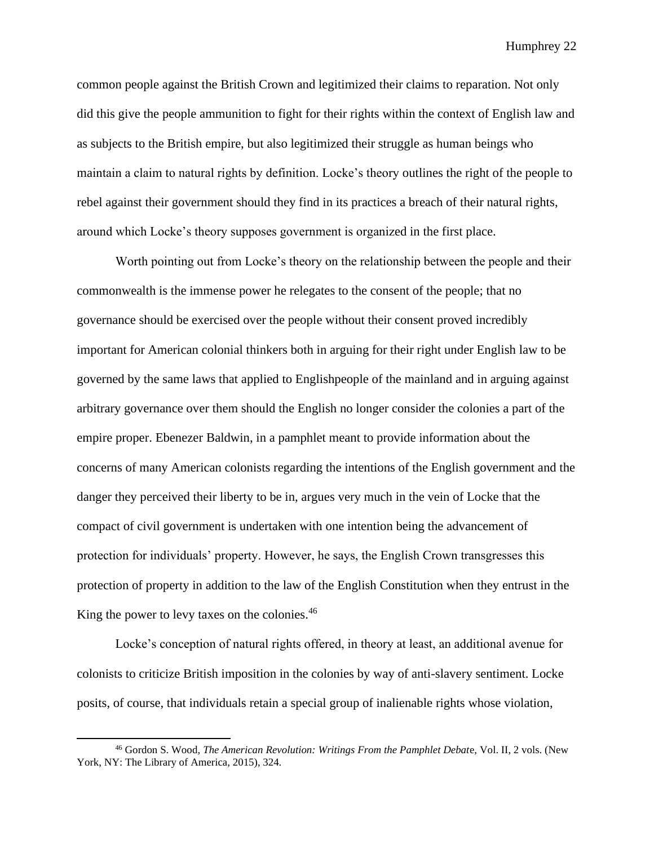common people against the British Crown and legitimized their claims to reparation. Not only did this give the people ammunition to fight for their rights within the context of English law and as subjects to the British empire, but also legitimized their struggle as human beings who maintain a claim to natural rights by definition. Locke's theory outlines the right of the people to rebel against their government should they find in its practices a breach of their natural rights, around which Locke's theory supposes government is organized in the first place.

Worth pointing out from Locke's theory on the relationship between the people and their commonwealth is the immense power he relegates to the consent of the people; that no governance should be exercised over the people without their consent proved incredibly important for American colonial thinkers both in arguing for their right under English law to be governed by the same laws that applied to Englishpeople of the mainland and in arguing against arbitrary governance over them should the English no longer consider the colonies a part of the empire proper. Ebenezer Baldwin, in a pamphlet meant to provide information about the concerns of many American colonists regarding the intentions of the English government and the danger they perceived their liberty to be in, argues very much in the vein of Locke that the compact of civil government is undertaken with one intention being the advancement of protection for individuals' property. However, he says, the English Crown transgresses this protection of property in addition to the law of the English Constitution when they entrust in the King the power to levy taxes on the colonies.<sup>46</sup>

Locke's conception of natural rights offered, in theory at least, an additional avenue for colonists to criticize British imposition in the colonies by way of anti-slavery sentiment. Locke posits, of course, that individuals retain a special group of inalienable rights whose violation,

<sup>46</sup> Gordon S. Wood, *The American Revolution: Writings From the Pamphlet Debat*e, Vol. II, 2 vols. (New York, NY: The Library of America, 2015), 324.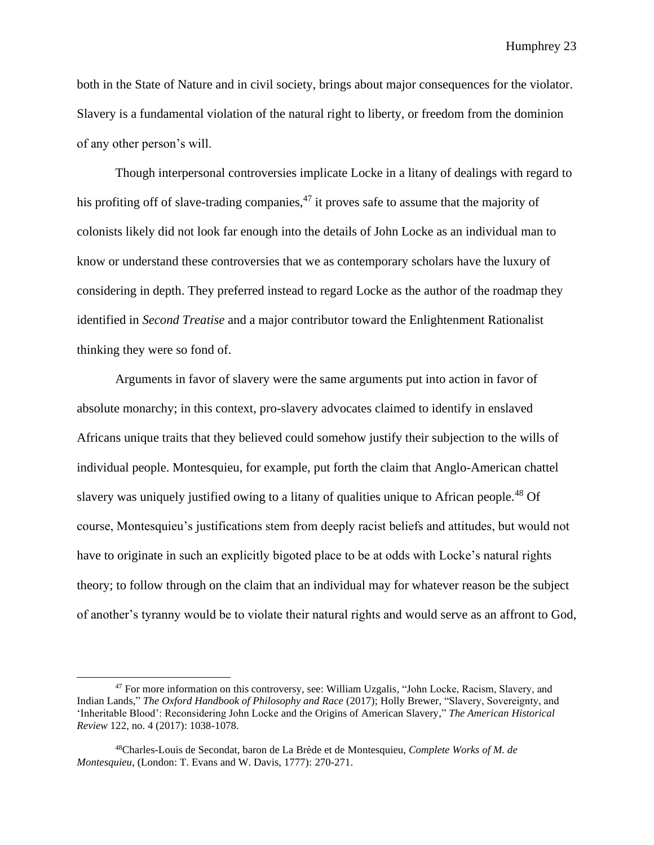both in the State of Nature and in civil society, brings about major consequences for the violator. Slavery is a fundamental violation of the natural right to liberty, or freedom from the dominion of any other person's will.

Though interpersonal controversies implicate Locke in a litany of dealings with regard to his profiting off of slave-trading companies,  $47$  it proves safe to assume that the majority of colonists likely did not look far enough into the details of John Locke as an individual man to know or understand these controversies that we as contemporary scholars have the luxury of considering in depth. They preferred instead to regard Locke as the author of the roadmap they identified in *Second Treatise* and a major contributor toward the Enlightenment Rationalist thinking they were so fond of.

Arguments in favor of slavery were the same arguments put into action in favor of absolute monarchy; in this context, pro-slavery advocates claimed to identify in enslaved Africans unique traits that they believed could somehow justify their subjection to the wills of individual people. Montesquieu, for example, put forth the claim that Anglo-American chattel slavery was uniquely justified owing to a litany of qualities unique to African people.<sup>48</sup> Of course, Montesquieu's justifications stem from deeply racist beliefs and attitudes, but would not have to originate in such an explicitly bigoted place to be at odds with Locke's natural rights theory; to follow through on the claim that an individual may for whatever reason be the subject of another's tyranny would be to violate their natural rights and would serve as an affront to God,

<sup>&</sup>lt;sup>47</sup> For more information on this controversy, see: William Uzgalis, "John Locke, Racism, Slavery, and Indian Lands," *The Oxford Handbook of Philosophy and Race* (2017); Holly Brewer, "Slavery, Sovereignty, and 'Inheritable Blood': Reconsidering John Locke and the Origins of American Slavery," *The American Historical Review* 122, no. 4 (2017): 1038-1078.

<sup>48</sup>Charles-Louis de Secondat, baron de La Brède et de Montesquieu, *Complete Works of M. de Montesquieu*, (London: T. Evans and W. Davis, 1777): 270-271.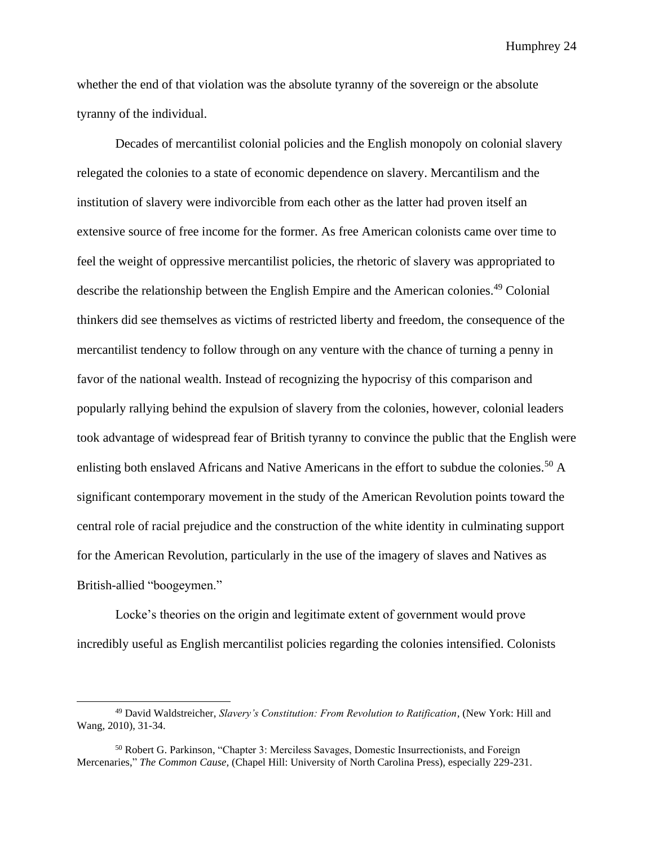whether the end of that violation was the absolute tyranny of the sovereign or the absolute tyranny of the individual.

Decades of mercantilist colonial policies and the English monopoly on colonial slavery relegated the colonies to a state of economic dependence on slavery. Mercantilism and the institution of slavery were indivorcible from each other as the latter had proven itself an extensive source of free income for the former. As free American colonists came over time to feel the weight of oppressive mercantilist policies, the rhetoric of slavery was appropriated to describe the relationship between the English Empire and the American colonies.<sup>49</sup> Colonial thinkers did see themselves as victims of restricted liberty and freedom, the consequence of the mercantilist tendency to follow through on any venture with the chance of turning a penny in favor of the national wealth. Instead of recognizing the hypocrisy of this comparison and popularly rallying behind the expulsion of slavery from the colonies, however, colonial leaders took advantage of widespread fear of British tyranny to convince the public that the English were enlisting both enslaved Africans and Native Americans in the effort to subdue the colonies.<sup>50</sup> A significant contemporary movement in the study of the American Revolution points toward the central role of racial prejudice and the construction of the white identity in culminating support for the American Revolution, particularly in the use of the imagery of slaves and Natives as British-allied "boogeymen."

Locke's theories on the origin and legitimate extent of government would prove incredibly useful as English mercantilist policies regarding the colonies intensified. Colonists

<sup>49</sup> David Waldstreicher, *Slavery's Constitution: From Revolution to Ratification*, (New York: Hill and Wang, 2010), 31-34.

<sup>&</sup>lt;sup>50</sup> Robert G. Parkinson, "Chapter 3: Merciless Savages, Domestic Insurrectionists, and Foreign Mercenaries," *The Common Cause,* (Chapel Hill: University of North Carolina Press), especially 229-231.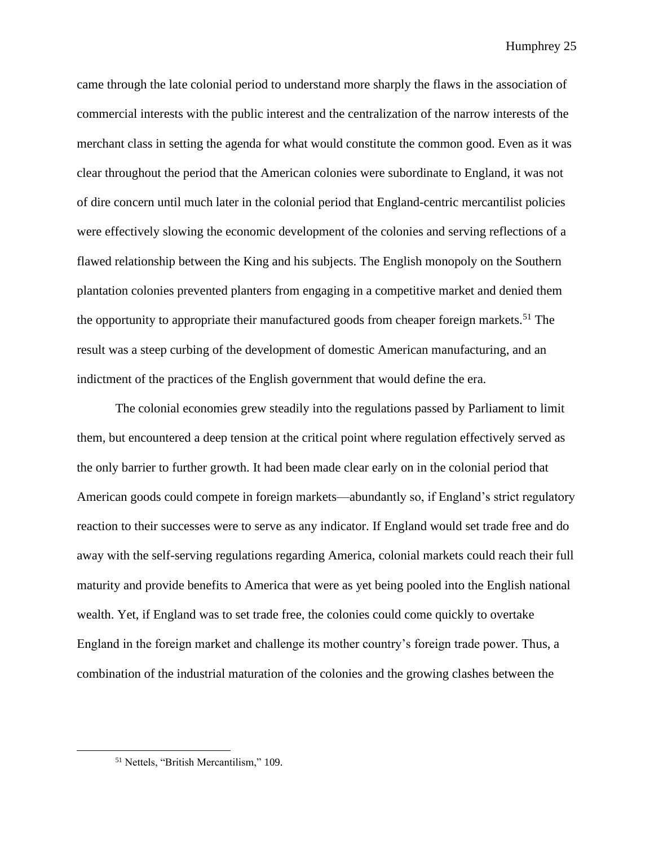came through the late colonial period to understand more sharply the flaws in the association of commercial interests with the public interest and the centralization of the narrow interests of the merchant class in setting the agenda for what would constitute the common good. Even as it was clear throughout the period that the American colonies were subordinate to England, it was not of dire concern until much later in the colonial period that England-centric mercantilist policies were effectively slowing the economic development of the colonies and serving reflections of a flawed relationship between the King and his subjects. The English monopoly on the Southern plantation colonies prevented planters from engaging in a competitive market and denied them the opportunity to appropriate their manufactured goods from cheaper foreign markets.<sup>51</sup> The result was a steep curbing of the development of domestic American manufacturing, and an indictment of the practices of the English government that would define the era.

The colonial economies grew steadily into the regulations passed by Parliament to limit them, but encountered a deep tension at the critical point where regulation effectively served as the only barrier to further growth. It had been made clear early on in the colonial period that American goods could compete in foreign markets—abundantly so, if England's strict regulatory reaction to their successes were to serve as any indicator. If England would set trade free and do away with the self-serving regulations regarding America, colonial markets could reach their full maturity and provide benefits to America that were as yet being pooled into the English national wealth. Yet, if England was to set trade free, the colonies could come quickly to overtake England in the foreign market and challenge its mother country's foreign trade power. Thus, a combination of the industrial maturation of the colonies and the growing clashes between the

<sup>51</sup> Nettels, "British Mercantilism," 109.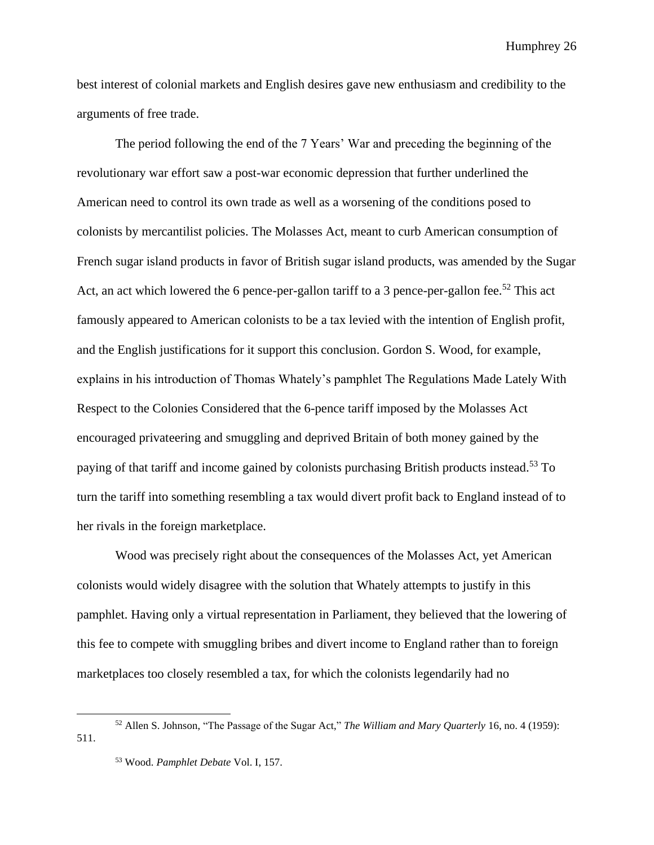best interest of colonial markets and English desires gave new enthusiasm and credibility to the arguments of free trade.

The period following the end of the 7 Years' War and preceding the beginning of the revolutionary war effort saw a post-war economic depression that further underlined the American need to control its own trade as well as a worsening of the conditions posed to colonists by mercantilist policies. The Molasses Act, meant to curb American consumption of French sugar island products in favor of British sugar island products, was amended by the Sugar Act, an act which lowered the 6 pence-per-gallon tariff to a 3 pence-per-gallon fee.<sup>52</sup> This act famously appeared to American colonists to be a tax levied with the intention of English profit, and the English justifications for it support this conclusion. Gordon S. Wood, for example, explains in his introduction of Thomas Whately's pamphlet The Regulations Made Lately With Respect to the Colonies Considered that the 6-pence tariff imposed by the Molasses Act encouraged privateering and smuggling and deprived Britain of both money gained by the paying of that tariff and income gained by colonists purchasing British products instead.<sup>53</sup> To turn the tariff into something resembling a tax would divert profit back to England instead of to her rivals in the foreign marketplace.

Wood was precisely right about the consequences of the Molasses Act, yet American colonists would widely disagree with the solution that Whately attempts to justify in this pamphlet. Having only a virtual representation in Parliament, they believed that the lowering of this fee to compete with smuggling bribes and divert income to England rather than to foreign marketplaces too closely resembled a tax, for which the colonists legendarily had no

<sup>52</sup> Allen S. Johnson, "The Passage of the Sugar Act," *The William and Mary Quarterly* 16, no. 4 (1959): 511.

<sup>53</sup> Wood. *Pamphlet Debate* Vol. I, 157.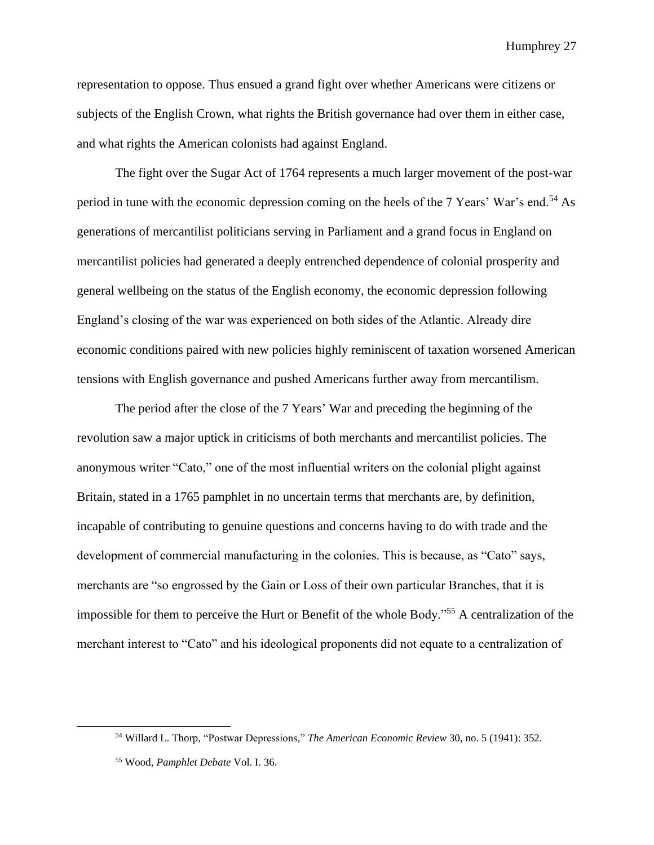representation to oppose. Thus ensued a grand fight over whether Americans were citizens or subjects of the English Crown, what rights the British governance had over them in either case, and what rights the American colonists had against England.

The fight over the Sugar Act of 1764 represents a much larger movement of the post-war period in tune with the economic depression coming on the heels of the 7 Years' War's end.<sup>54</sup> As generations of mercantilist politicians serving in Parliament and a grand focus in England on mercantilist policies had generated a deeply entrenched dependence of colonial prosperity and general wellbeing on the status of the English economy, the economic depression following England's closing of the war was experienced on both sides of the Atlantic. Already dire economic conditions paired with new policies highly reminiscent of taxation worsened American tensions with English governance and pushed Americans further away from mercantilism.

The period after the close of the 7 Years' War and preceding the beginning of the revolution saw a major uptick in criticisms of both merchants and mercantilist policies. The anonymous writer "Cato," one of the most influential writers on the colonial plight against Britain, stated in a 1765 pamphlet in no uncertain terms that merchants are, by definition, incapable of contributing to genuine questions and concerns having to do with trade and the development of commercial manufacturing in the colonies. This is because, as "Cato" says, merchants are "so engrossed by the Gain or Loss of their own particular Branches, that it is impossible for them to perceive the Hurt or Benefit of the whole Body."<sup>55</sup> A centralization of the merchant interest to "Cato" and his ideological proponents did not equate to a centralization of

<sup>54</sup> Willard L. Thorp, "Postwar Depressions," *The American Economic Review* 30, no. 5 (1941): 352.

<sup>55</sup> Wood, *Pamphlet Debate* Vol. I. 36.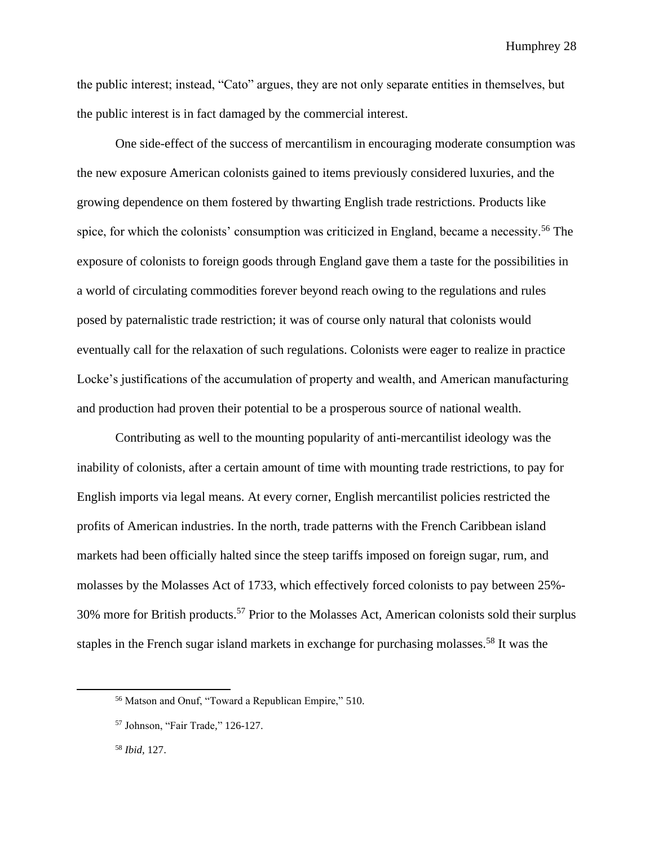the public interest; instead, "Cato" argues, they are not only separate entities in themselves, but the public interest is in fact damaged by the commercial interest.

One side-effect of the success of mercantilism in encouraging moderate consumption was the new exposure American colonists gained to items previously considered luxuries, and the growing dependence on them fostered by thwarting English trade restrictions. Products like spice, for which the colonists' consumption was criticized in England, became a necessity.<sup>56</sup> The exposure of colonists to foreign goods through England gave them a taste for the possibilities in a world of circulating commodities forever beyond reach owing to the regulations and rules posed by paternalistic trade restriction; it was of course only natural that colonists would eventually call for the relaxation of such regulations. Colonists were eager to realize in practice Locke's justifications of the accumulation of property and wealth, and American manufacturing and production had proven their potential to be a prosperous source of national wealth.

Contributing as well to the mounting popularity of anti-mercantilist ideology was the inability of colonists, after a certain amount of time with mounting trade restrictions, to pay for English imports via legal means. At every corner, English mercantilist policies restricted the profits of American industries. In the north, trade patterns with the French Caribbean island markets had been officially halted since the steep tariffs imposed on foreign sugar, rum, and molasses by the Molasses Act of 1733, which effectively forced colonists to pay between 25%- 30% more for British products.<sup>57</sup> Prior to the Molasses Act, American colonists sold their surplus staples in the French sugar island markets in exchange for purchasing molasses.<sup>58</sup> It was the

<sup>56</sup> Matson and Onuf, "Toward a Republican Empire," 510.

<sup>57</sup> Johnson, "Fair Trade*,*" 126-127.

<sup>58</sup> *Ibid,* 127.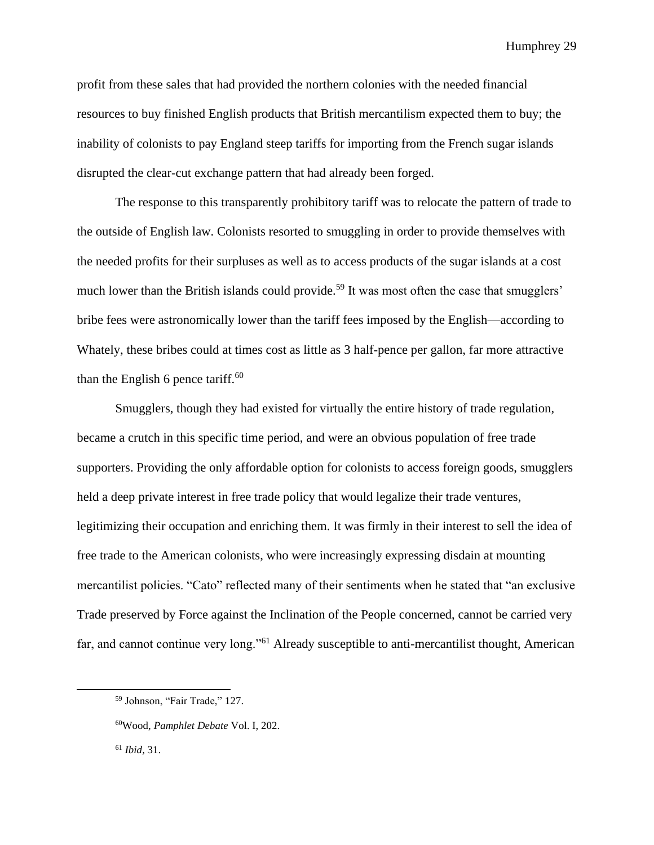profit from these sales that had provided the northern colonies with the needed financial resources to buy finished English products that British mercantilism expected them to buy; the inability of colonists to pay England steep tariffs for importing from the French sugar islands disrupted the clear-cut exchange pattern that had already been forged.

The response to this transparently prohibitory tariff was to relocate the pattern of trade to the outside of English law. Colonists resorted to smuggling in order to provide themselves with the needed profits for their surpluses as well as to access products of the sugar islands at a cost much lower than the British islands could provide.<sup>59</sup> It was most often the case that smugglers' bribe fees were astronomically lower than the tariff fees imposed by the English—according to Whately, these bribes could at times cost as little as 3 half-pence per gallon, far more attractive than the English 6 pence tariff.<sup>60</sup>

Smugglers, though they had existed for virtually the entire history of trade regulation, became a crutch in this specific time period, and were an obvious population of free trade supporters. Providing the only affordable option for colonists to access foreign goods, smugglers held a deep private interest in free trade policy that would legalize their trade ventures, legitimizing their occupation and enriching them. It was firmly in their interest to sell the idea of free trade to the American colonists, who were increasingly expressing disdain at mounting mercantilist policies. "Cato" reflected many of their sentiments when he stated that "an exclusive Trade preserved by Force against the Inclination of the People concerned, cannot be carried very far, and cannot continue very long."<sup>61</sup> Already susceptible to anti-mercantilist thought, American

<sup>59</sup> Johnson, "Fair Trade," 127.

<sup>60</sup>Wood, *Pamphlet Debate* Vol. I, 202.

<sup>61</sup> *Ibid,* 31.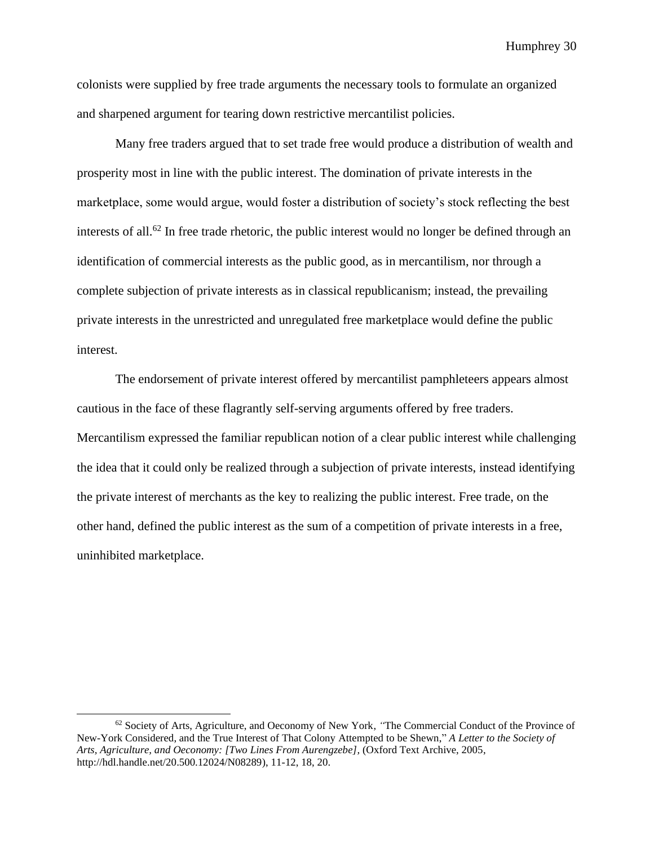colonists were supplied by free trade arguments the necessary tools to formulate an organized and sharpened argument for tearing down restrictive mercantilist policies.

Many free traders argued that to set trade free would produce a distribution of wealth and prosperity most in line with the public interest. The domination of private interests in the marketplace, some would argue, would foster a distribution of society's stock reflecting the best interests of all.<sup>62</sup> In free trade rhetoric, the public interest would no longer be defined through an identification of commercial interests as the public good, as in mercantilism, nor through a complete subjection of private interests as in classical republicanism; instead, the prevailing private interests in the unrestricted and unregulated free marketplace would define the public interest.

The endorsement of private interest offered by mercantilist pamphleteers appears almost cautious in the face of these flagrantly self-serving arguments offered by free traders. Mercantilism expressed the familiar republican notion of a clear public interest while challenging the idea that it could only be realized through a subjection of private interests, instead identifying the private interest of merchants as the key to realizing the public interest. Free trade, on the other hand, defined the public interest as the sum of a competition of private interests in a free, uninhibited marketplace.

<sup>62</sup> Society of Arts, Agriculture, and Oeconomy of New York, *"*The Commercial Conduct of the Province of New-York Considered, and the True Interest of That Colony Attempted to be Shewn," *A Letter to the Society of Arts, Agriculture, and Oeconomy: [Two Lines From Aurengzebe],* (Oxford Text Archive, 2005, http://hdl.handle.net/20.500.12024/N08289), 11-12, 18, 20.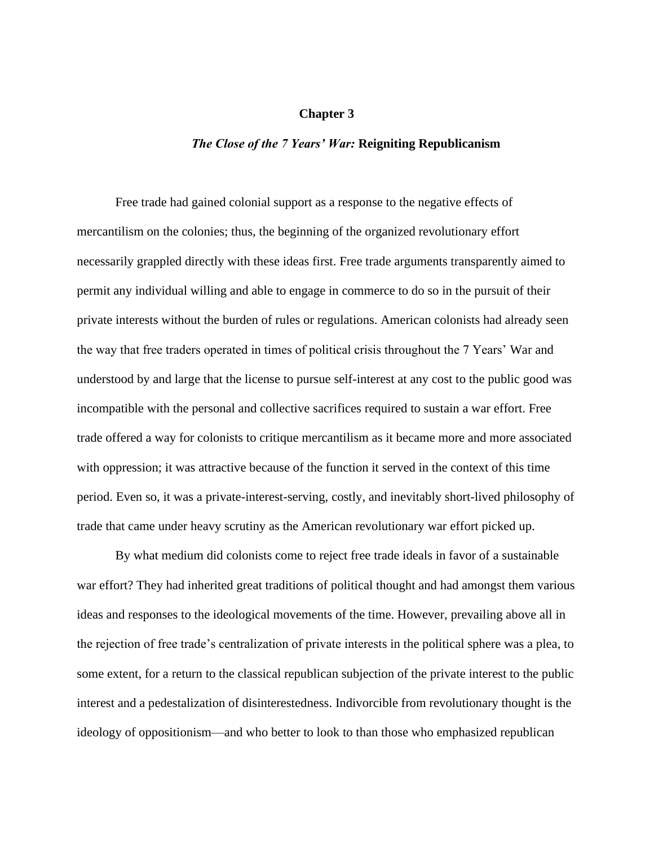# **Chapter 3**

#### *The Close of the 7 Years' War:* **Reigniting Republicanism**

Free trade had gained colonial support as a response to the negative effects of mercantilism on the colonies; thus, the beginning of the organized revolutionary effort necessarily grappled directly with these ideas first. Free trade arguments transparently aimed to permit any individual willing and able to engage in commerce to do so in the pursuit of their private interests without the burden of rules or regulations. American colonists had already seen the way that free traders operated in times of political crisis throughout the 7 Years' War and understood by and large that the license to pursue self-interest at any cost to the public good was incompatible with the personal and collective sacrifices required to sustain a war effort. Free trade offered a way for colonists to critique mercantilism as it became more and more associated with oppression; it was attractive because of the function it served in the context of this time period. Even so, it was a private-interest-serving, costly, and inevitably short-lived philosophy of trade that came under heavy scrutiny as the American revolutionary war effort picked up.

By what medium did colonists come to reject free trade ideals in favor of a sustainable war effort? They had inherited great traditions of political thought and had amongst them various ideas and responses to the ideological movements of the time. However, prevailing above all in the rejection of free trade's centralization of private interests in the political sphere was a plea, to some extent, for a return to the classical republican subjection of the private interest to the public interest and a pedestalization of disinterestedness. Indivorcible from revolutionary thought is the ideology of oppositionism—and who better to look to than those who emphasized republican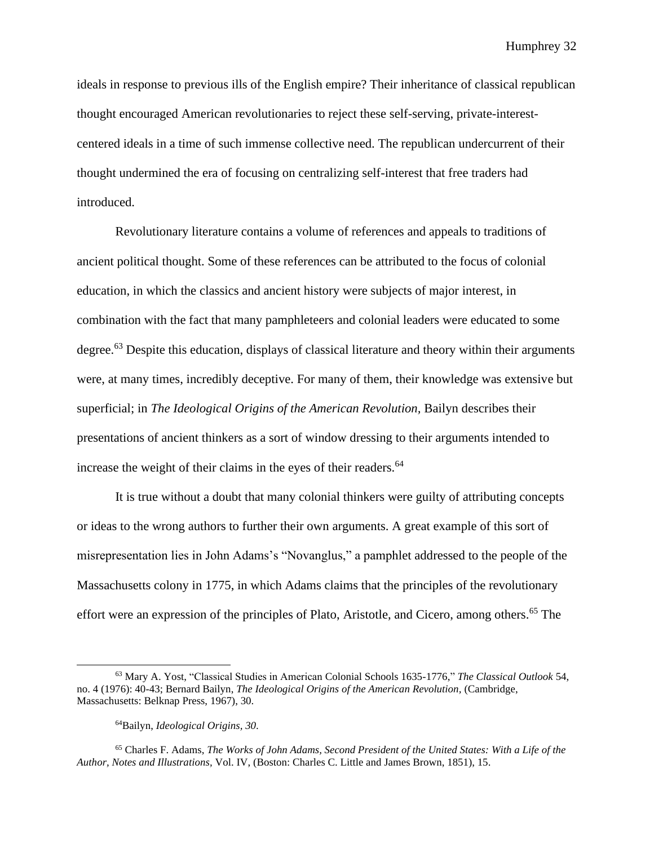ideals in response to previous ills of the English empire? Their inheritance of classical republican thought encouraged American revolutionaries to reject these self-serving, private-interestcentered ideals in a time of such immense collective need. The republican undercurrent of their thought undermined the era of focusing on centralizing self-interest that free traders had introduced.

Revolutionary literature contains a volume of references and appeals to traditions of ancient political thought. Some of these references can be attributed to the focus of colonial education, in which the classics and ancient history were subjects of major interest, in combination with the fact that many pamphleteers and colonial leaders were educated to some degree.<sup>63</sup> Despite this education, displays of classical literature and theory within their arguments were, at many times, incredibly deceptive. For many of them, their knowledge was extensive but superficial; in *The Ideological Origins of the American Revolution,* Bailyn describes their presentations of ancient thinkers as a sort of window dressing to their arguments intended to increase the weight of their claims in the eyes of their readers.<sup>64</sup>

It is true without a doubt that many colonial thinkers were guilty of attributing concepts or ideas to the wrong authors to further their own arguments. A great example of this sort of misrepresentation lies in John Adams's "Novanglus," a pamphlet addressed to the people of the Massachusetts colony in 1775, in which Adams claims that the principles of the revolutionary effort were an expression of the principles of Plato, Aristotle, and Cicero, among others.<sup>65</sup> The

<sup>63</sup> Mary A. Yost, "Classical Studies in American Colonial Schools 1635-1776," *The Classical Outlook* 54, no. 4 (1976): 40-43; Bernard Bailyn, *The Ideological Origins of the American Revolution,* (Cambridge, Massachusetts: Belknap Press, 1967), 30.

<sup>64</sup>Bailyn, *Ideological Origins, 30*.

<sup>65</sup> Charles F. Adams, *The Works of John Adams, Second President of the United States: With a Life of the Author, Notes and Illustrations,* Vol. IV, (Boston: Charles C. Little and James Brown, 1851), 15.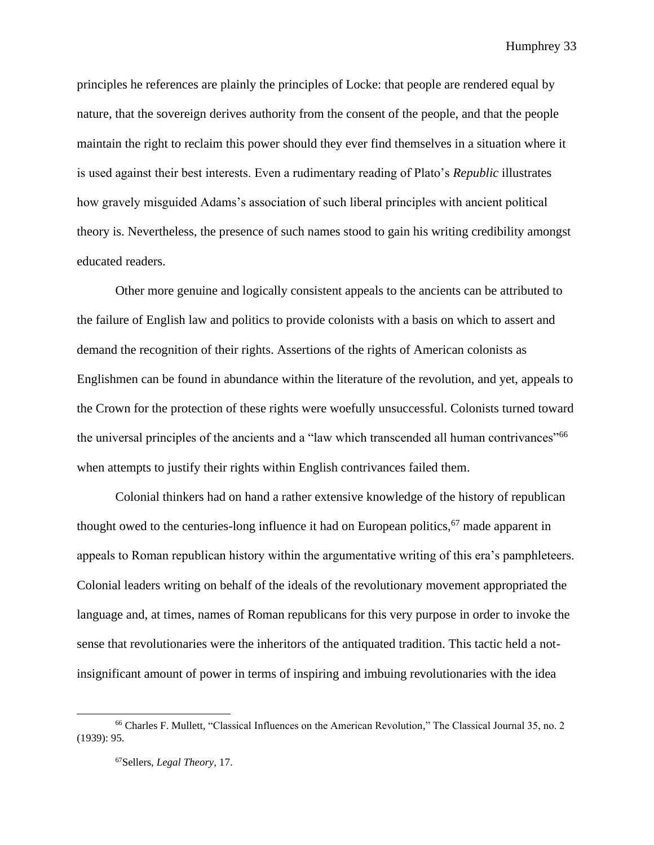principles he references are plainly the principles of Locke: that people are rendered equal by nature, that the sovereign derives authority from the consent of the people, and that the people maintain the right to reclaim this power should they ever find themselves in a situation where it is used against their best interests. Even a rudimentary reading of Plato's *Republic* illustrates how gravely misguided Adams's association of such liberal principles with ancient political theory is. Nevertheless, the presence of such names stood to gain his writing credibility amongst educated readers.

Other more genuine and logically consistent appeals to the ancients can be attributed to the failure of English law and politics to provide colonists with a basis on which to assert and demand the recognition of their rights. Assertions of the rights of American colonists as Englishmen can be found in abundance within the literature of the revolution, and yet, appeals to the Crown for the protection of these rights were woefully unsuccessful. Colonists turned toward the universal principles of the ancients and a "law which transcended all human contrivances"<sup>66</sup> when attempts to justify their rights within English contrivances failed them.

Colonial thinkers had on hand a rather extensive knowledge of the history of republican thought owed to the centuries-long influence it had on European politics,  $67$  made apparent in appeals to Roman republican history within the argumentative writing of this era's pamphleteers. Colonial leaders writing on behalf of the ideals of the revolutionary movement appropriated the language and, at times, names of Roman republicans for this very purpose in order to invoke the sense that revolutionaries were the inheritors of the antiquated tradition. This tactic held a notinsignificant amount of power in terms of inspiring and imbuing revolutionaries with the idea

<sup>66</sup> Charles F. Mullett, "Classical Influences on the American Revolution," The Classical Journal 35, no. 2 (1939): 95.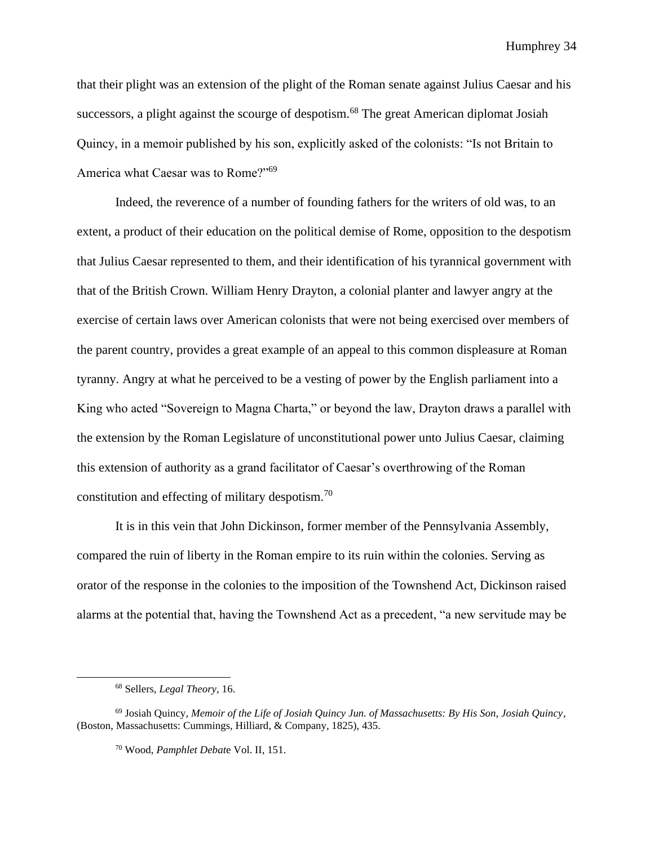that their plight was an extension of the plight of the Roman senate against Julius Caesar and his successors, a plight against the scourge of despotism.<sup>68</sup> The great American diplomat Josiah Quincy, in a memoir published by his son, explicitly asked of the colonists: "Is not Britain to America what Caesar was to Rome?"<sup>69</sup>

Indeed, the reverence of a number of founding fathers for the writers of old was, to an extent, a product of their education on the political demise of Rome, opposition to the despotism that Julius Caesar represented to them, and their identification of his tyrannical government with that of the British Crown. William Henry Drayton, a colonial planter and lawyer angry at the exercise of certain laws over American colonists that were not being exercised over members of the parent country, provides a great example of an appeal to this common displeasure at Roman tyranny. Angry at what he perceived to be a vesting of power by the English parliament into a King who acted "Sovereign to Magna Charta," or beyond the law, Drayton draws a parallel with the extension by the Roman Legislature of unconstitutional power unto Julius Caesar, claiming this extension of authority as a grand facilitator of Caesar's overthrowing of the Roman constitution and effecting of military despotism.<sup>70</sup>

It is in this vein that John Dickinson, former member of the Pennsylvania Assembly, compared the ruin of liberty in the Roman empire to its ruin within the colonies. Serving as orator of the response in the colonies to the imposition of the Townshend Act, Dickinson raised alarms at the potential that, having the Townshend Act as a precedent, "a new servitude may be

<sup>68</sup> Sellers, *Legal Theory,* 16.

<sup>69</sup> Josiah Quincy, *Memoir of the Life of Josiah Quincy Jun. of Massachusetts: By His Son, Josiah Quincy*, (Boston, Massachusetts: Cummings, Hilliard, & Company, 1825), 435.

<sup>70</sup> Wood, *Pamphlet Debat*e Vol. II, 151.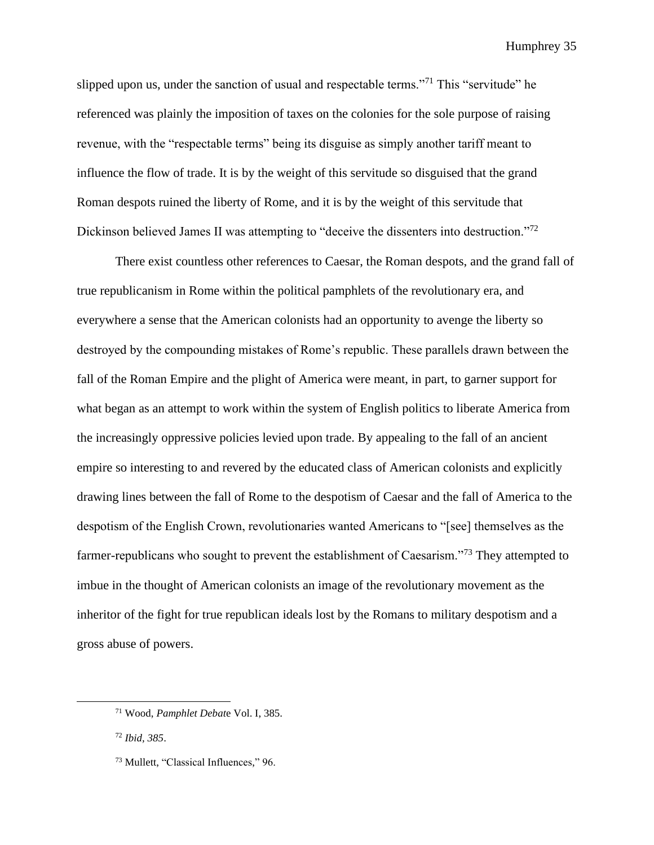slipped upon us, under the sanction of usual and respectable terms."<sup>71</sup> This "servitude" he referenced was plainly the imposition of taxes on the colonies for the sole purpose of raising revenue, with the "respectable terms" being its disguise as simply another tariff meant to influence the flow of trade. It is by the weight of this servitude so disguised that the grand Roman despots ruined the liberty of Rome, and it is by the weight of this servitude that Dickinson believed James II was attempting to "deceive the dissenters into destruction."<sup>72</sup>

There exist countless other references to Caesar, the Roman despots, and the grand fall of true republicanism in Rome within the political pamphlets of the revolutionary era, and everywhere a sense that the American colonists had an opportunity to avenge the liberty so destroyed by the compounding mistakes of Rome's republic. These parallels drawn between the fall of the Roman Empire and the plight of America were meant, in part, to garner support for what began as an attempt to work within the system of English politics to liberate America from the increasingly oppressive policies levied upon trade. By appealing to the fall of an ancient empire so interesting to and revered by the educated class of American colonists and explicitly drawing lines between the fall of Rome to the despotism of Caesar and the fall of America to the despotism of the English Crown, revolutionaries wanted Americans to "[see] themselves as the farmer-republicans who sought to prevent the establishment of Caesarism.<sup>373</sup> They attempted to imbue in the thought of American colonists an image of the revolutionary movement as the inheritor of the fight for true republican ideals lost by the Romans to military despotism and a gross abuse of powers.

<sup>71</sup> Wood, *Pamphlet Debat*e Vol. I, 385.

<sup>72</sup> *Ibid, 385*.

<sup>73</sup> Mullett, "Classical Influences," 96.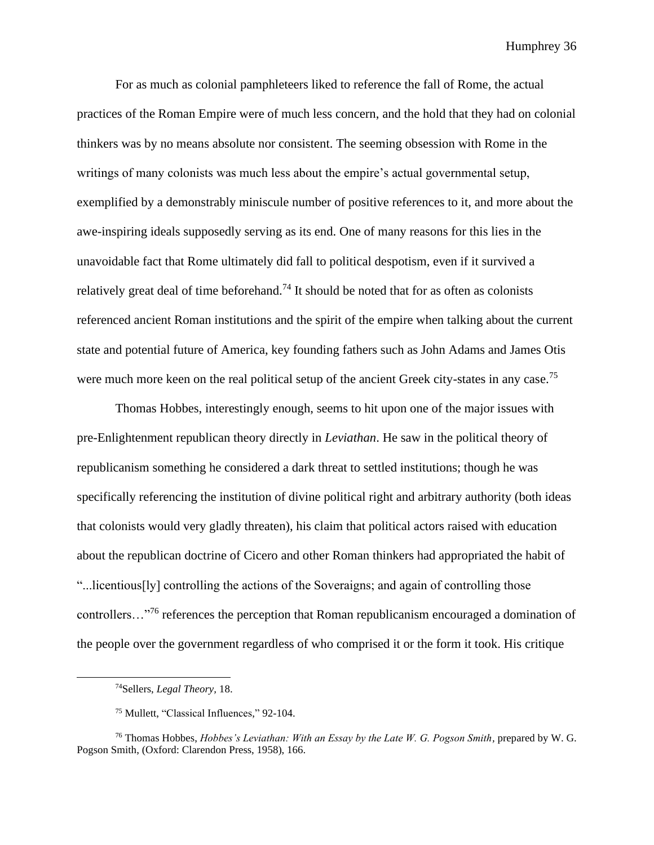For as much as colonial pamphleteers liked to reference the fall of Rome, the actual practices of the Roman Empire were of much less concern, and the hold that they had on colonial thinkers was by no means absolute nor consistent. The seeming obsession with Rome in the writings of many colonists was much less about the empire's actual governmental setup, exemplified by a demonstrably miniscule number of positive references to it, and more about the awe-inspiring ideals supposedly serving as its end. One of many reasons for this lies in the unavoidable fact that Rome ultimately did fall to political despotism, even if it survived a relatively great deal of time beforehand.<sup>74</sup> It should be noted that for as often as colonists referenced ancient Roman institutions and the spirit of the empire when talking about the current state and potential future of America, key founding fathers such as John Adams and James Otis were much more keen on the real political setup of the ancient Greek city-states in any case.<sup>75</sup>

Thomas Hobbes, interestingly enough, seems to hit upon one of the major issues with pre-Enlightenment republican theory directly in *Leviathan*. He saw in the political theory of republicanism something he considered a dark threat to settled institutions; though he was specifically referencing the institution of divine political right and arbitrary authority (both ideas that colonists would very gladly threaten), his claim that political actors raised with education about the republican doctrine of Cicero and other Roman thinkers had appropriated the habit of "...licentious[ly] controlling the actions of the Soveraigns; and again of controlling those controllers…"<sup>76</sup> references the perception that Roman republicanism encouraged a domination of the people over the government regardless of who comprised it or the form it took. His critique

<sup>74</sup>Sellers, *Legal Theory,* 18.

<sup>75</sup> Mullett, "Classical Influences," 92-104.

<sup>&</sup>lt;sup>76</sup> Thomas Hobbes, *Hobbes's Leviathan: With an Essay by the Late W. G. Pogson Smith, prepared by W. G.* Pogson Smith, (Oxford: Clarendon Press, 1958), 166.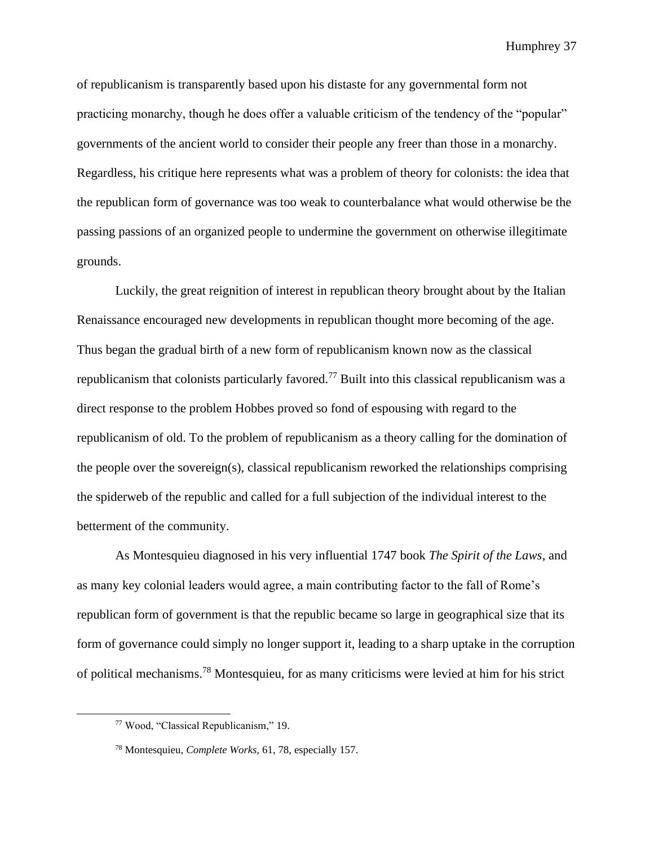of republicanism is transparently based upon his distaste for any governmental form not practicing monarchy, though he does offer a valuable criticism of the tendency of the "popular" governments of the ancient world to consider their people any freer than those in a monarchy. Regardless, his critique here represents what was a problem of theory for colonists: the idea that the republican form of governance was too weak to counterbalance what would otherwise be the passing passions of an organized people to undermine the government on otherwise illegitimate grounds.

Luckily, the great reignition of interest in republican theory brought about by the Italian Renaissance encouraged new developments in republican thought more becoming of the age. Thus began the gradual birth of a new form of republicanism known now as the classical republicanism that colonists particularly favored.<sup>77</sup> Built into this classical republicanism was a direct response to the problem Hobbes proved so fond of espousing with regard to the republicanism of old. To the problem of republicanism as a theory calling for the domination of the people over the sovereign(s), classical republicanism reworked the relationships comprising the spiderweb of the republic and called for a full subjection of the individual interest to the betterment of the community.

As Montesquieu diagnosed in his very influential 1747 book *The Spirit of the Laws*, and as many key colonial leaders would agree, a main contributing factor to the fall of Rome's republican form of government is that the republic became so large in geographical size that its form of governance could simply no longer support it, leading to a sharp uptake in the corruption of political mechanisms.<sup>78</sup> Montesquieu, for as many criticisms were levied at him for his strict

<sup>77</sup> Wood, "Classical Republicanism," 19.

<sup>78</sup> Montesquieu, *Complete Works,* 61, 78, especially 157.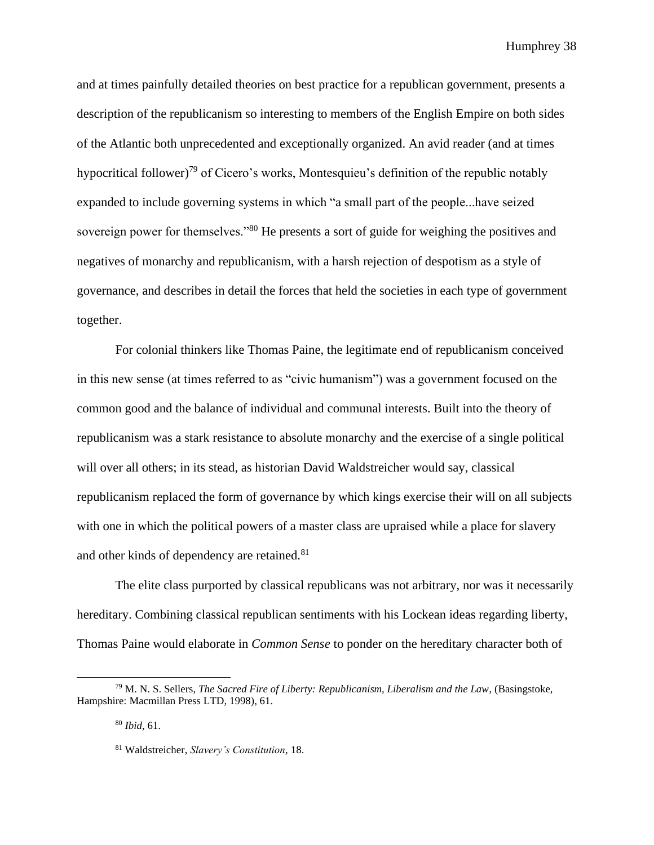and at times painfully detailed theories on best practice for a republican government, presents a description of the republicanism so interesting to members of the English Empire on both sides of the Atlantic both unprecedented and exceptionally organized. An avid reader (and at times hypocritical follower)<sup>79</sup> of Cicero's works, Montesquieu's definition of the republic notably expanded to include governing systems in which "a small part of the people...have seized sovereign power for themselves."<sup>80</sup> He presents a sort of guide for weighing the positives and negatives of monarchy and republicanism, with a harsh rejection of despotism as a style of governance, and describes in detail the forces that held the societies in each type of government together.

For colonial thinkers like Thomas Paine, the legitimate end of republicanism conceived in this new sense (at times referred to as "civic humanism") was a government focused on the common good and the balance of individual and communal interests. Built into the theory of republicanism was a stark resistance to absolute monarchy and the exercise of a single political will over all others; in its stead, as historian David Waldstreicher would say, classical republicanism replaced the form of governance by which kings exercise their will on all subjects with one in which the political powers of a master class are upraised while a place for slavery and other kinds of dependency are retained.<sup>81</sup>

The elite class purported by classical republicans was not arbitrary, nor was it necessarily hereditary. Combining classical republican sentiments with his Lockean ideas regarding liberty, Thomas Paine would elaborate in *Common Sense* to ponder on the hereditary character both of

<sup>80</sup> *Ibid,* 61.

<sup>79</sup> M. N. S. Sellers, *The Sacred Fire of Liberty: Republicanism, Liberalism and the Law*, (Basingstoke, Hampshire: Macmillan Press LTD, 1998), 61.

<sup>81</sup> Waldstreicher, *Slavery's Constitution,* 18.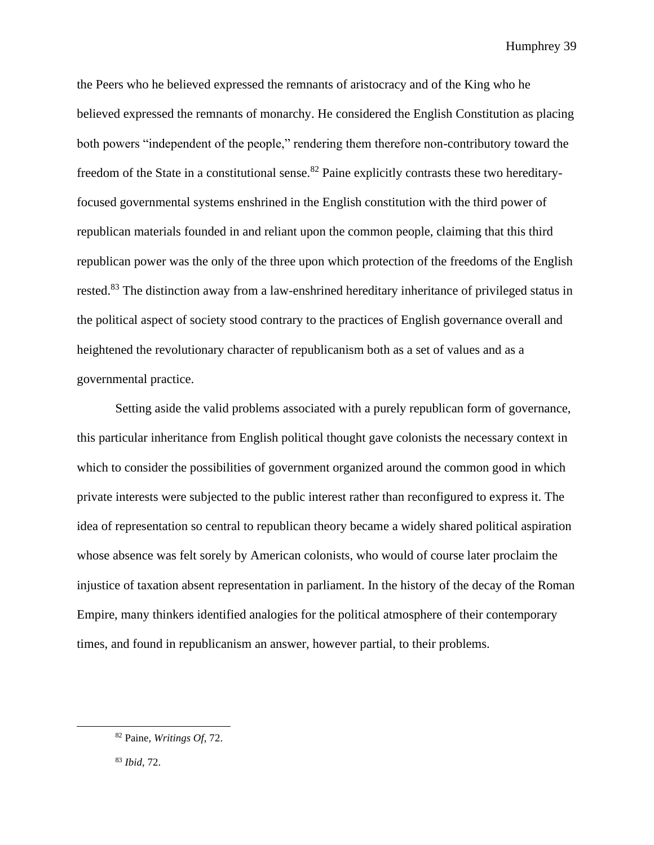the Peers who he believed expressed the remnants of aristocracy and of the King who he believed expressed the remnants of monarchy. He considered the English Constitution as placing both powers "independent of the people," rendering them therefore non-contributory toward the freedom of the State in a constitutional sense.<sup>82</sup> Paine explicitly contrasts these two hereditaryfocused governmental systems enshrined in the English constitution with the third power of republican materials founded in and reliant upon the common people, claiming that this third republican power was the only of the three upon which protection of the freedoms of the English rested.<sup>83</sup> The distinction away from a law-enshrined hereditary inheritance of privileged status in the political aspect of society stood contrary to the practices of English governance overall and heightened the revolutionary character of republicanism both as a set of values and as a governmental practice.

Setting aside the valid problems associated with a purely republican form of governance, this particular inheritance from English political thought gave colonists the necessary context in which to consider the possibilities of government organized around the common good in which private interests were subjected to the public interest rather than reconfigured to express it. The idea of representation so central to republican theory became a widely shared political aspiration whose absence was felt sorely by American colonists, who would of course later proclaim the injustice of taxation absent representation in parliament. In the history of the decay of the Roman Empire, many thinkers identified analogies for the political atmosphere of their contemporary times, and found in republicanism an answer, however partial, to their problems.

<sup>82</sup> Paine, *Writings Of,* 72.

<sup>83</sup> *Ibid,* 72.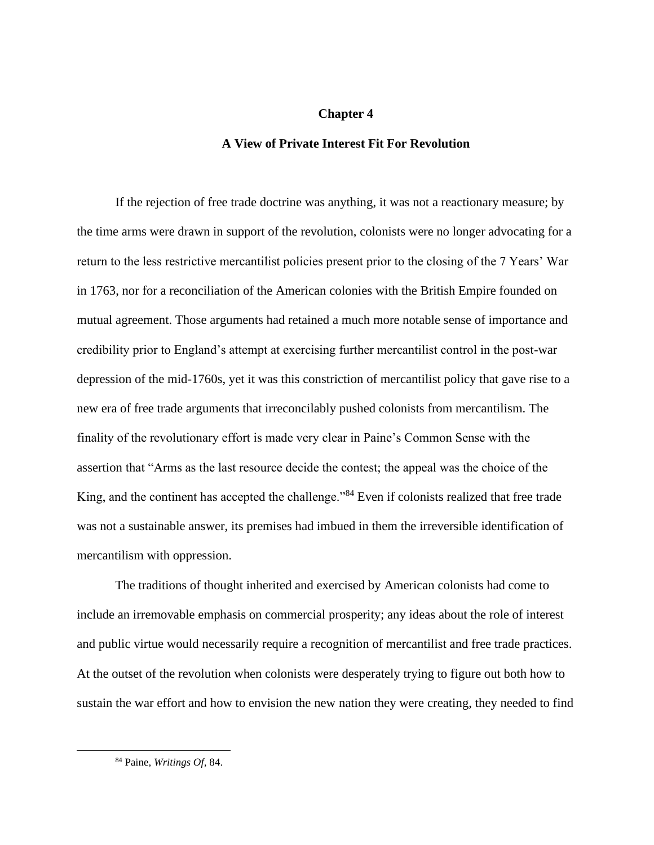# **Chapter 4**

# **A View of Private Interest Fit For Revolution**

If the rejection of free trade doctrine was anything, it was not a reactionary measure; by the time arms were drawn in support of the revolution, colonists were no longer advocating for a return to the less restrictive mercantilist policies present prior to the closing of the 7 Years' War in 1763, nor for a reconciliation of the American colonies with the British Empire founded on mutual agreement. Those arguments had retained a much more notable sense of importance and credibility prior to England's attempt at exercising further mercantilist control in the post-war depression of the mid-1760s, yet it was this constriction of mercantilist policy that gave rise to a new era of free trade arguments that irreconcilably pushed colonists from mercantilism. The finality of the revolutionary effort is made very clear in Paine's Common Sense with the assertion that "Arms as the last resource decide the contest; the appeal was the choice of the King, and the continent has accepted the challenge."<sup>84</sup> Even if colonists realized that free trade was not a sustainable answer, its premises had imbued in them the irreversible identification of mercantilism with oppression.

The traditions of thought inherited and exercised by American colonists had come to include an irremovable emphasis on commercial prosperity; any ideas about the role of interest and public virtue would necessarily require a recognition of mercantilist and free trade practices. At the outset of the revolution when colonists were desperately trying to figure out both how to sustain the war effort and how to envision the new nation they were creating, they needed to find

<sup>84</sup> Paine, *Writings Of,* 84.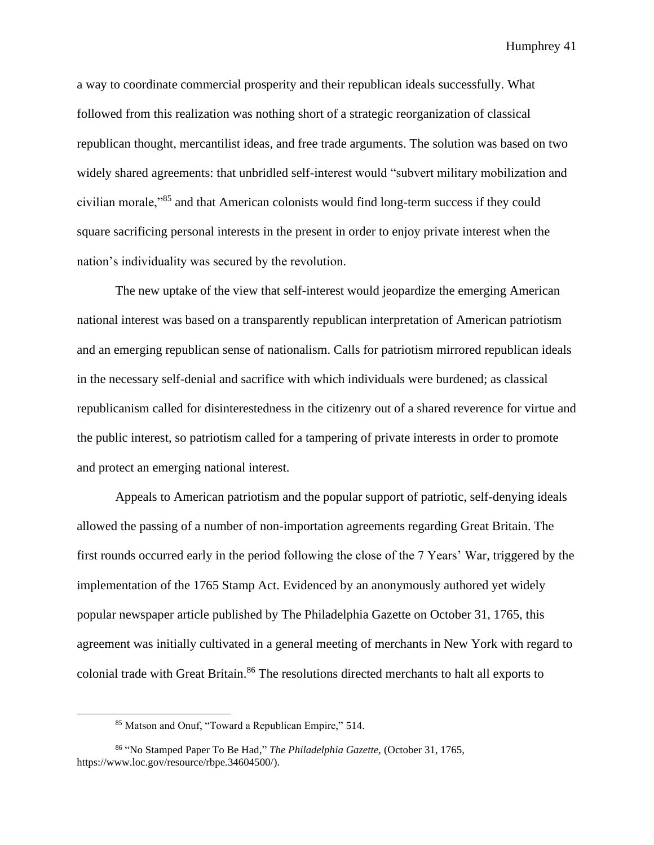a way to coordinate commercial prosperity and their republican ideals successfully. What followed from this realization was nothing short of a strategic reorganization of classical republican thought, mercantilist ideas, and free trade arguments. The solution was based on two widely shared agreements: that unbridled self-interest would "subvert military mobilization and civilian morale,"<sup>85</sup> and that American colonists would find long-term success if they could square sacrificing personal interests in the present in order to enjoy private interest when the nation's individuality was secured by the revolution.

The new uptake of the view that self-interest would jeopardize the emerging American national interest was based on a transparently republican interpretation of American patriotism and an emerging republican sense of nationalism. Calls for patriotism mirrored republican ideals in the necessary self-denial and sacrifice with which individuals were burdened; as classical republicanism called for disinterestedness in the citizenry out of a shared reverence for virtue and the public interest, so patriotism called for a tampering of private interests in order to promote and protect an emerging national interest.

Appeals to American patriotism and the popular support of patriotic, self-denying ideals allowed the passing of a number of non-importation agreements regarding Great Britain. The first rounds occurred early in the period following the close of the 7 Years' War, triggered by the implementation of the 1765 Stamp Act. Evidenced by an anonymously authored yet widely popular newspaper article published by The Philadelphia Gazette on October 31, 1765, this agreement was initially cultivated in a general meeting of merchants in New York with regard to colonial trade with Great Britain. <sup>86</sup> The resolutions directed merchants to halt all exports to

<sup>85</sup> Matson and Onuf, "Toward a Republican Empire," 514.

<sup>86</sup> "No Stamped Paper To Be Had," *The Philadelphia Gazette,* (October 31, 1765, https://www.loc.gov/resource/rbpe.34604500/).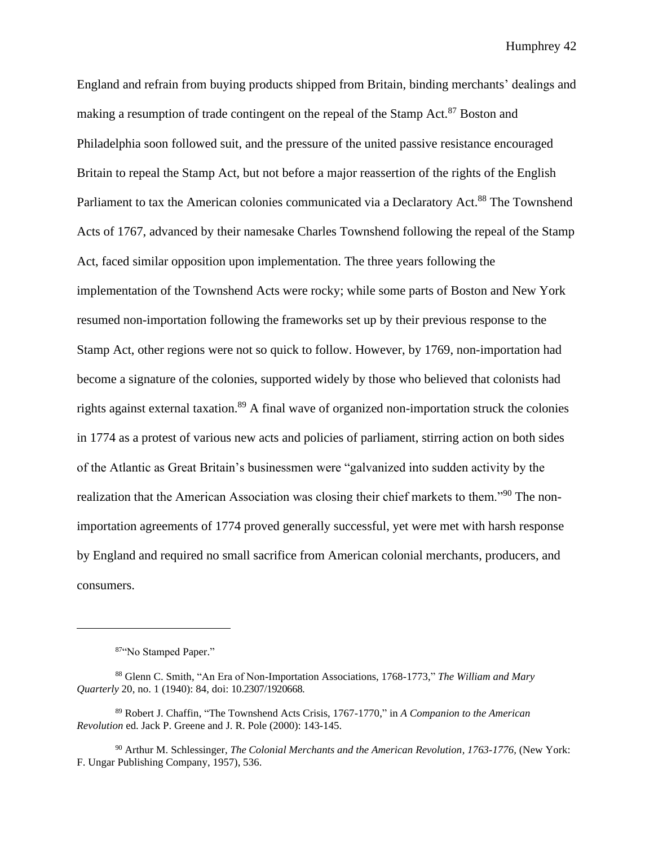England and refrain from buying products shipped from Britain, binding merchants' dealings and making a resumption of trade contingent on the repeal of the Stamp Act.<sup>87</sup> Boston and Philadelphia soon followed suit, and the pressure of the united passive resistance encouraged Britain to repeal the Stamp Act, but not before a major reassertion of the rights of the English Parliament to tax the American colonies communicated via a Declaratory Act.<sup>88</sup> The Townshend Acts of 1767, advanced by their namesake Charles Townshend following the repeal of the Stamp Act, faced similar opposition upon implementation. The three years following the implementation of the Townshend Acts were rocky; while some parts of Boston and New York resumed non-importation following the frameworks set up by their previous response to the Stamp Act, other regions were not so quick to follow. However, by 1769, non-importation had become a signature of the colonies, supported widely by those who believed that colonists had rights against external taxation.<sup>89</sup> A final wave of organized non-importation struck the colonies in 1774 as a protest of various new acts and policies of parliament, stirring action on both sides of the Atlantic as Great Britain's businessmen were "galvanized into sudden activity by the realization that the American Association was closing their chief markets to them."<sup>90</sup> The nonimportation agreements of 1774 proved generally successful, yet were met with harsh response by England and required no small sacrifice from American colonial merchants, producers, and consumers.

<sup>87&</sup>quot;No Stamped Paper."

<sup>88</sup> Glenn C. Smith, "An Era of Non-Importation Associations, 1768-1773," *The William and Mary Quarterly* 20, no. 1 (1940): 84, doi: 10.2307/1920668.

<sup>89</sup> Robert J. Chaffin, "The Townshend Acts Crisis, 1767-1770," in *A Companion to the American Revolution* ed. Jack P. Greene and J. R. Pole (2000): 143-145.

<sup>90</sup> Arthur M. Schlessinger, *The Colonial Merchants and the American Revolution, 1763-1776,* (New York: F. Ungar Publishing Company, 1957), 536.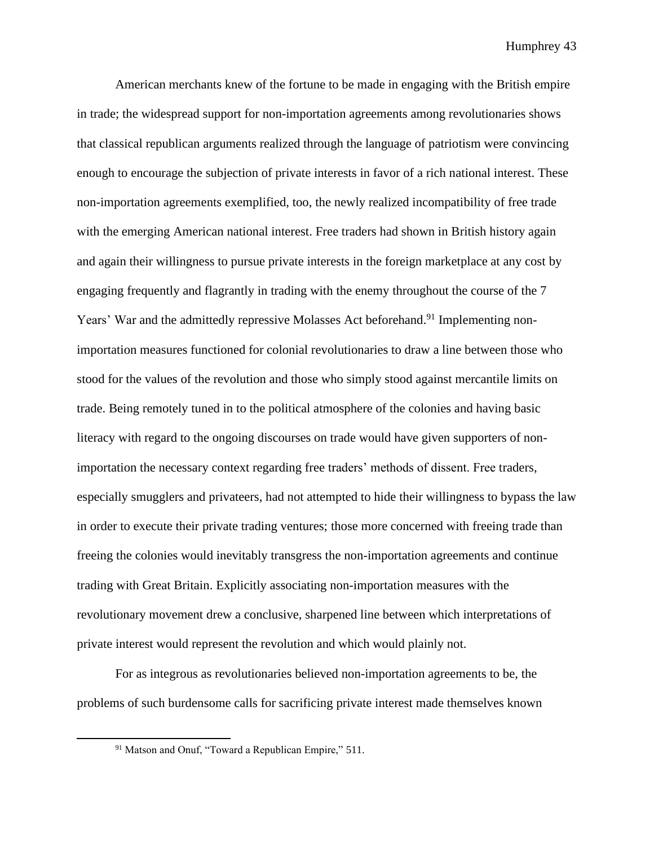American merchants knew of the fortune to be made in engaging with the British empire in trade; the widespread support for non-importation agreements among revolutionaries shows that classical republican arguments realized through the language of patriotism were convincing enough to encourage the subjection of private interests in favor of a rich national interest. These non-importation agreements exemplified, too, the newly realized incompatibility of free trade with the emerging American national interest. Free traders had shown in British history again and again their willingness to pursue private interests in the foreign marketplace at any cost by engaging frequently and flagrantly in trading with the enemy throughout the course of the 7 Years' War and the admittedly repressive Molasses Act beforehand.<sup>91</sup> Implementing nonimportation measures functioned for colonial revolutionaries to draw a line between those who stood for the values of the revolution and those who simply stood against mercantile limits on trade. Being remotely tuned in to the political atmosphere of the colonies and having basic literacy with regard to the ongoing discourses on trade would have given supporters of nonimportation the necessary context regarding free traders' methods of dissent. Free traders, especially smugglers and privateers, had not attempted to hide their willingness to bypass the law in order to execute their private trading ventures; those more concerned with freeing trade than freeing the colonies would inevitably transgress the non-importation agreements and continue trading with Great Britain. Explicitly associating non-importation measures with the revolutionary movement drew a conclusive, sharpened line between which interpretations of private interest would represent the revolution and which would plainly not.

For as integrous as revolutionaries believed non-importation agreements to be, the problems of such burdensome calls for sacrificing private interest made themselves known

<sup>&</sup>lt;sup>91</sup> Matson and Onuf, "Toward a Republican Empire," 511.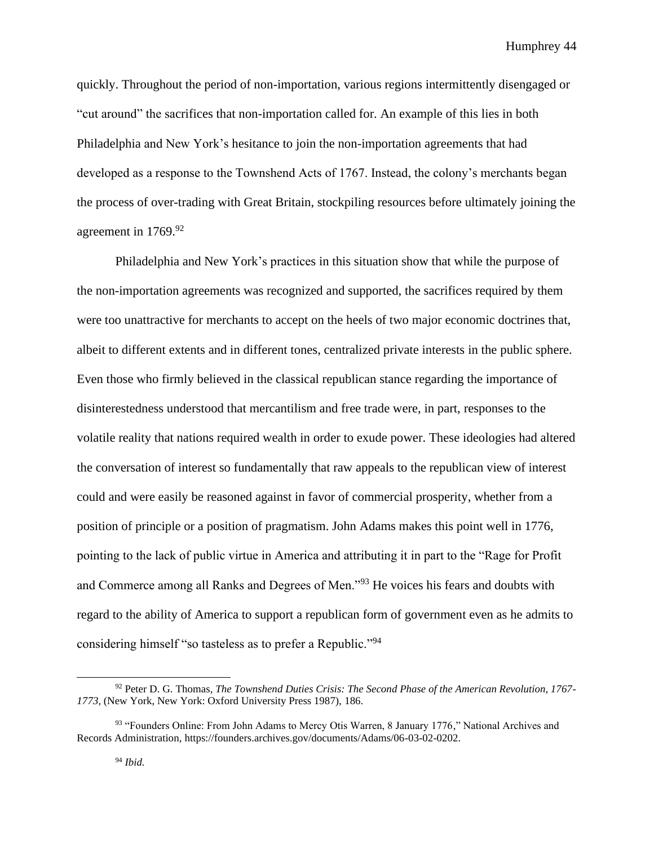quickly. Throughout the period of non-importation, various regions intermittently disengaged or "cut around" the sacrifices that non-importation called for. An example of this lies in both Philadelphia and New York's hesitance to join the non-importation agreements that had developed as a response to the Townshend Acts of 1767. Instead, the colony's merchants began the process of over-trading with Great Britain, stockpiling resources before ultimately joining the agreement in 1769.<sup>92</sup>

Philadelphia and New York's practices in this situation show that while the purpose of the non-importation agreements was recognized and supported, the sacrifices required by them were too unattractive for merchants to accept on the heels of two major economic doctrines that, albeit to different extents and in different tones, centralized private interests in the public sphere. Even those who firmly believed in the classical republican stance regarding the importance of disinterestedness understood that mercantilism and free trade were, in part, responses to the volatile reality that nations required wealth in order to exude power. These ideologies had altered the conversation of interest so fundamentally that raw appeals to the republican view of interest could and were easily be reasoned against in favor of commercial prosperity, whether from a position of principle or a position of pragmatism. John Adams makes this point well in 1776, pointing to the lack of public virtue in America and attributing it in part to the "Rage for Profit and Commerce among all Ranks and Degrees of Men."<sup>93</sup> He voices his fears and doubts with regard to the ability of America to support a republican form of government even as he admits to considering himself "so tasteless as to prefer a Republic."<sup>94</sup>

<sup>92</sup> Peter D. G. Thomas, *The Townshend Duties Crisis: The Second Phase of the American Revolution, 1767- 1773,* (New York, New York: Oxford University Press 1987), 186.

<sup>93 &</sup>quot;Founders Online: From John Adams to Mercy Otis Warren, 8 January 1776," National Archives and Records Administration, https://founders.archives.gov/documents/Adams/06-03-02-0202.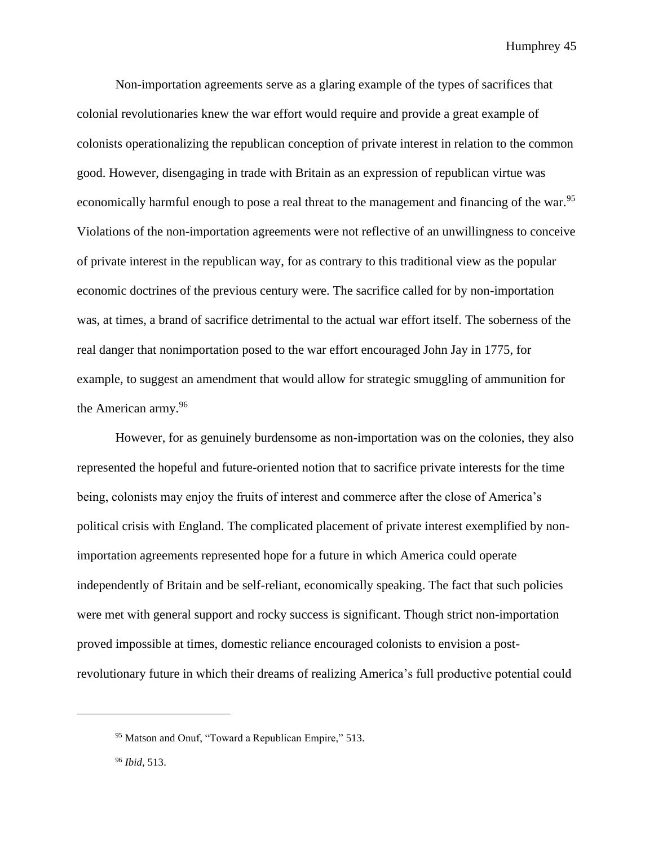Non-importation agreements serve as a glaring example of the types of sacrifices that colonial revolutionaries knew the war effort would require and provide a great example of colonists operationalizing the republican conception of private interest in relation to the common good. However, disengaging in trade with Britain as an expression of republican virtue was economically harmful enough to pose a real threat to the management and financing of the war.<sup>95</sup> Violations of the non-importation agreements were not reflective of an unwillingness to conceive of private interest in the republican way, for as contrary to this traditional view as the popular economic doctrines of the previous century were. The sacrifice called for by non-importation was, at times, a brand of sacrifice detrimental to the actual war effort itself. The soberness of the real danger that nonimportation posed to the war effort encouraged John Jay in 1775, for example, to suggest an amendment that would allow for strategic smuggling of ammunition for the American army.<sup>96</sup>

However, for as genuinely burdensome as non-importation was on the colonies, they also represented the hopeful and future-oriented notion that to sacrifice private interests for the time being, colonists may enjoy the fruits of interest and commerce after the close of America's political crisis with England. The complicated placement of private interest exemplified by nonimportation agreements represented hope for a future in which America could operate independently of Britain and be self-reliant, economically speaking. The fact that such policies were met with general support and rocky success is significant. Though strict non-importation proved impossible at times, domestic reliance encouraged colonists to envision a postrevolutionary future in which their dreams of realizing America's full productive potential could

<sup>&</sup>lt;sup>95</sup> Matson and Onuf, "Toward a Republican Empire," 513.

<sup>96</sup> *Ibid,* 513.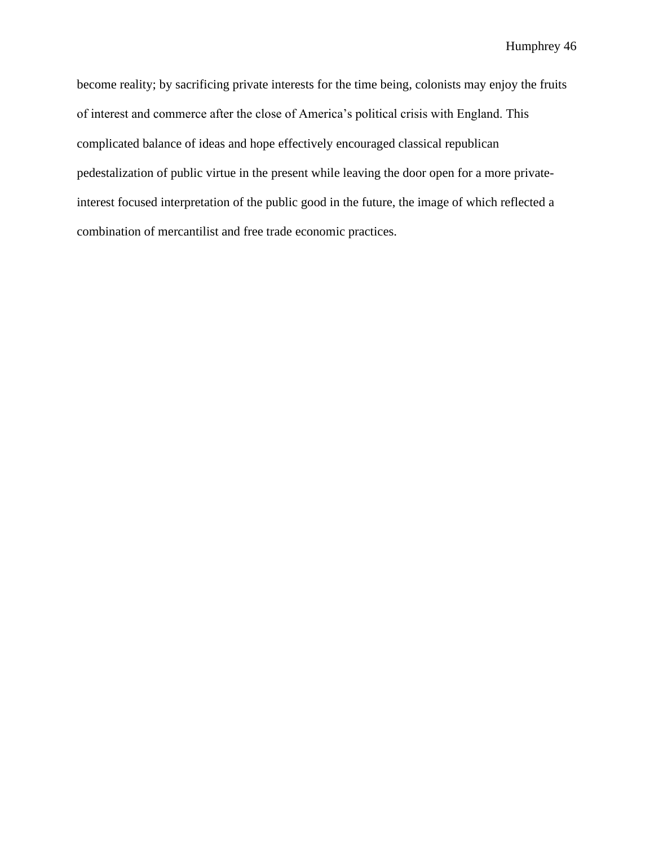become reality; by sacrificing private interests for the time being, colonists may enjoy the fruits of interest and commerce after the close of America's political crisis with England. This complicated balance of ideas and hope effectively encouraged classical republican pedestalization of public virtue in the present while leaving the door open for a more privateinterest focused interpretation of the public good in the future, the image of which reflected a combination of mercantilist and free trade economic practices.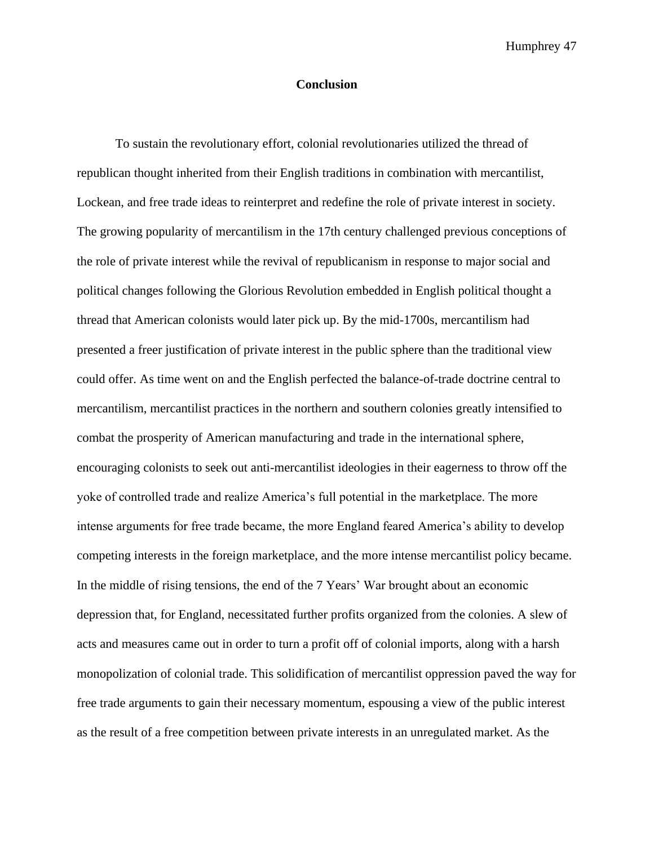# **Conclusion**

To sustain the revolutionary effort, colonial revolutionaries utilized the thread of republican thought inherited from their English traditions in combination with mercantilist, Lockean, and free trade ideas to reinterpret and redefine the role of private interest in society. The growing popularity of mercantilism in the 17th century challenged previous conceptions of the role of private interest while the revival of republicanism in response to major social and political changes following the Glorious Revolution embedded in English political thought a thread that American colonists would later pick up. By the mid-1700s, mercantilism had presented a freer justification of private interest in the public sphere than the traditional view could offer. As time went on and the English perfected the balance-of-trade doctrine central to mercantilism, mercantilist practices in the northern and southern colonies greatly intensified to combat the prosperity of American manufacturing and trade in the international sphere, encouraging colonists to seek out anti-mercantilist ideologies in their eagerness to throw off the yoke of controlled trade and realize America's full potential in the marketplace. The more intense arguments for free trade became, the more England feared America's ability to develop competing interests in the foreign marketplace, and the more intense mercantilist policy became. In the middle of rising tensions, the end of the 7 Years' War brought about an economic depression that, for England, necessitated further profits organized from the colonies. A slew of acts and measures came out in order to turn a profit off of colonial imports, along with a harsh monopolization of colonial trade. This solidification of mercantilist oppression paved the way for free trade arguments to gain their necessary momentum, espousing a view of the public interest as the result of a free competition between private interests in an unregulated market. As the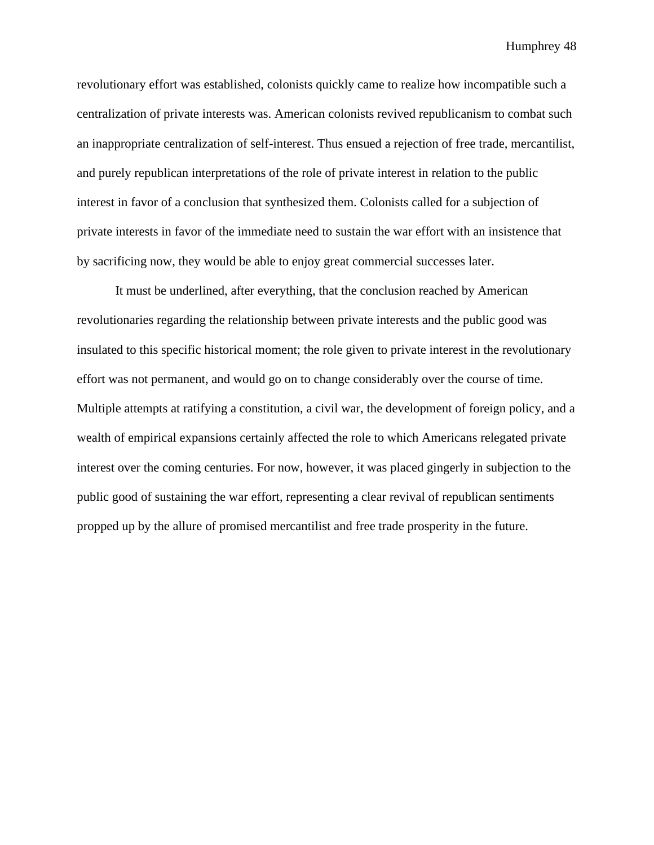revolutionary effort was established, colonists quickly came to realize how incompatible such a centralization of private interests was. American colonists revived republicanism to combat such an inappropriate centralization of self-interest. Thus ensued a rejection of free trade, mercantilist, and purely republican interpretations of the role of private interest in relation to the public interest in favor of a conclusion that synthesized them. Colonists called for a subjection of private interests in favor of the immediate need to sustain the war effort with an insistence that by sacrificing now, they would be able to enjoy great commercial successes later.

It must be underlined, after everything, that the conclusion reached by American revolutionaries regarding the relationship between private interests and the public good was insulated to this specific historical moment; the role given to private interest in the revolutionary effort was not permanent, and would go on to change considerably over the course of time. Multiple attempts at ratifying a constitution, a civil war, the development of foreign policy, and a wealth of empirical expansions certainly affected the role to which Americans relegated private interest over the coming centuries. For now, however, it was placed gingerly in subjection to the public good of sustaining the war effort, representing a clear revival of republican sentiments propped up by the allure of promised mercantilist and free trade prosperity in the future.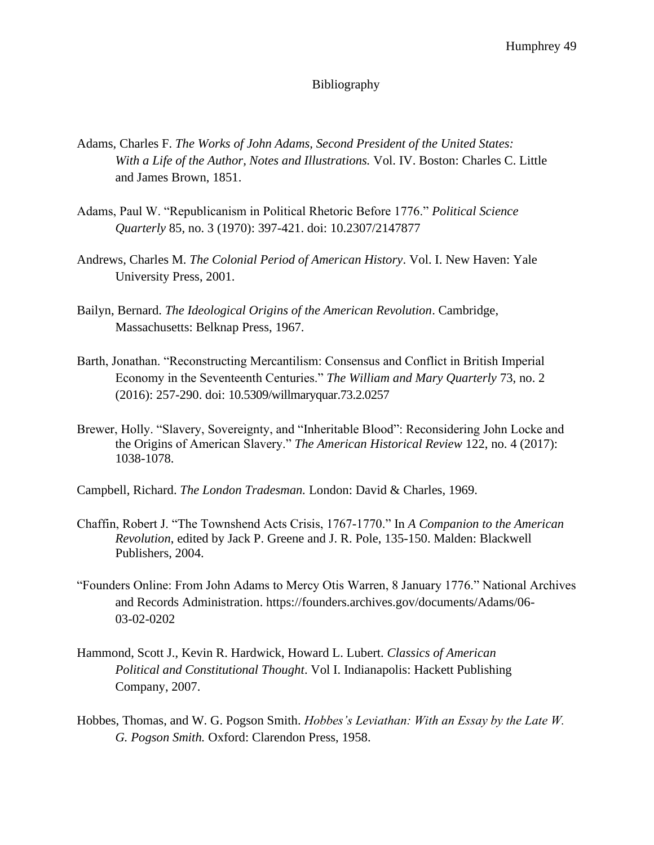# Bibliography

- Adams, Charles F. *The Works of John Adams, Second President of the United States: With a Life of the Author, Notes and Illustrations.* Vol. IV. Boston: Charles C. Little and James Brown, 1851.
- Adams, Paul W. "Republicanism in Political Rhetoric Before 1776." *Political Science Quarterly* 85, no. 3 (1970): 397-421. doi: 10.2307/2147877
- Andrews, Charles M. *The Colonial Period of American History*. Vol. I. New Haven: Yale University Press, 2001.
- Bailyn, Bernard. *The Ideological Origins of the American Revolution*. Cambridge, Massachusetts: Belknap Press, 1967.
- Barth, Jonathan. "Reconstructing Mercantilism: Consensus and Conflict in British Imperial Economy in the Seventeenth Centuries." *The William and Mary Quarterly* 73, no. 2 (2016): 257-290. doi: [10.5309/willmaryquar.73.2.0257](https://doi.org/10.5309/willmaryquar.73.2.0257)
- Brewer, Holly. "Slavery, Sovereignty, and "Inheritable Blood": Reconsidering John Locke and the Origins of American Slavery." *The American Historical Review* 122, no. 4 (2017): 1038-1078.
- Campbell, Richard. *The London Tradesman.* London: David & Charles, 1969.
- Chaffin, Robert J. "The Townshend Acts Crisis, 1767-1770." In *A Companion to the American Revolution*, edited by Jack P. Greene and J. R. Pole, 135-150. Malden: Blackwell Publishers, 2004.
- "Founders Online: From John Adams to Mercy Otis Warren, 8 January 1776." National Archives and Records Administration. https://founders.archives.gov/documents/Adams/06- 03-02-0202
- Hammond, Scott J., Kevin R. Hardwick, Howard L. Lubert. *Classics of American Political and Constitutional Thought*. Vol I. Indianapolis: Hackett Publishing Company, 2007.
- Hobbes, Thomas, and W. G. Pogson Smith. *Hobbes's Leviathan: With an Essay by the Late W. G. Pogson Smith.* Oxford: Clarendon Press, 1958.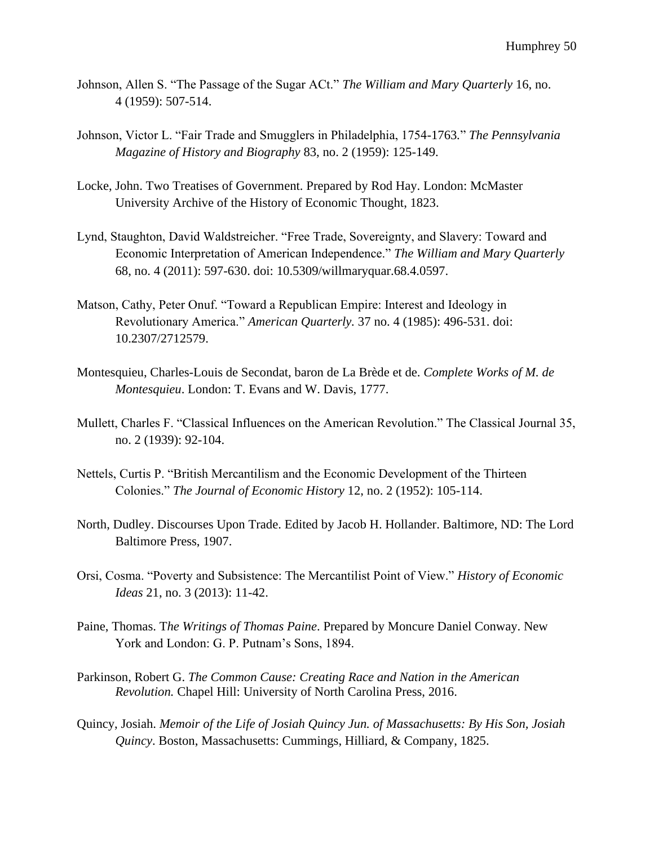- Johnson, Allen S. "The Passage of the Sugar ACt." *The William and Mary Quarterly* 16, no. 4 (1959): 507-514.
- Johnson, Victor L. "Fair Trade and Smugglers in Philadelphia, 1754-1763*.*" *The Pennsylvania Magazine of History and Biography* 83, no. 2 (1959): 125-149.
- Locke, John. Two Treatises of Government. Prepared by Rod Hay. London: McMaster University Archive of the History of Economic Thought, 1823.
- Lynd, Staughton, David Waldstreicher. "Free Trade, Sovereignty, and Slavery: Toward and Economic Interpretation of American Independence." *The William and Mary Quarterly*  68, no. 4 (2011): 597-630. doi: 10.5309/willmaryquar.68.4.0597.
- Matson, Cathy, Peter Onuf. "Toward a Republican Empire: Interest and Ideology in Revolutionary America." *American Quarterly.* 37 no. 4 (1985): 496-531. doi: 10.2307/2712579.
- Montesquieu, Charles-Louis de Secondat, baron de La Brède et de. *Complete Works of M. de Montesquieu*. London: T. Evans and W. Davis, 1777.
- Mullett, Charles F. "Classical Influences on the American Revolution." The Classical Journal 35, no. 2 (1939): 92-104.
- Nettels, Curtis P. "British Mercantilism and the Economic Development of the Thirteen Colonies." *The Journal of Economic History* 12, no. 2 (1952): 105-114.
- North, Dudley. Discourses Upon Trade. Edited by Jacob H. Hollander. Baltimore, ND: The Lord Baltimore Press, 1907.
- Orsi, Cosma. "Poverty and Subsistence: The Mercantilist Point of View." *History of Economic Ideas* 21, no. 3 (2013): 11-42.
- Paine, Thomas. T*he Writings of Thomas Paine*. Prepared by Moncure Daniel Conway. New York and London: G. P. Putnam's Sons, 1894.
- Parkinson, Robert G. *The Common Cause: Creating Race and Nation in the American Revolution.* Chapel Hill: University of North Carolina Press, 2016.
- Quincy, Josiah. *Memoir of the Life of Josiah Quincy Jun. of Massachusetts: By His Son, Josiah Quincy*. Boston, Massachusetts: Cummings, Hilliard, & Company, 1825.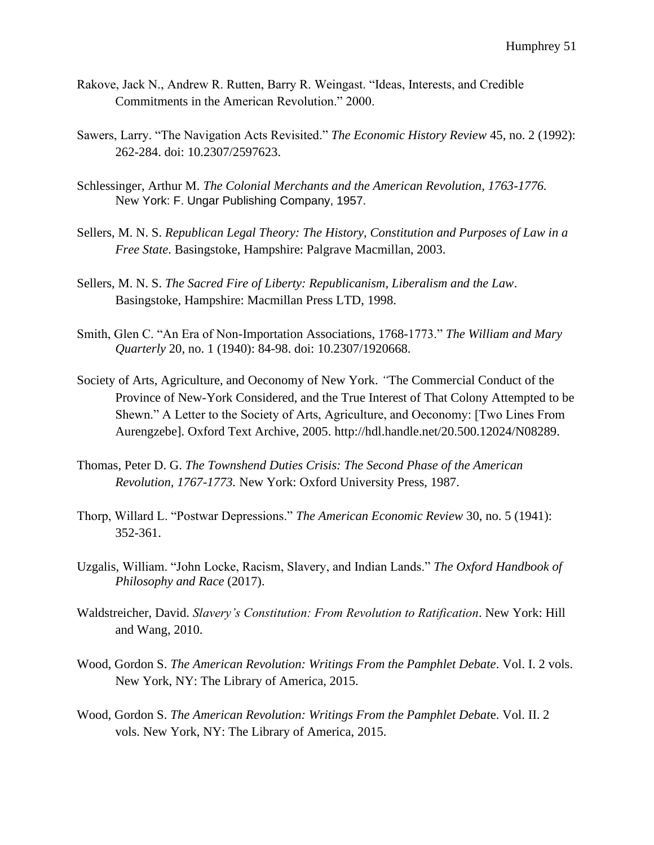- Rakove, Jack N., Andrew R. Rutten, Barry R. Weingast. "Ideas, Interests, and Credible Commitments in the American Revolution." 2000.
- Sawers, Larry. "The Navigation Acts Revisited." *The Economic History Review* 45, no. 2 (1992): 262-284. doi: 10.2307/2597623.
- Schlessinger, Arthur M. *The Colonial Merchants and the American Revolution, 1763-1776.*  New York: F. Ungar Publishing Company, 1957.
- Sellers, M. N. S. *Republican Legal Theory: The History, Constitution and Purposes of Law in a Free State*. Basingstoke, Hampshire: Palgrave Macmillan, 2003.
- Sellers, M. N. S. *The Sacred Fire of Liberty: Republicanism, Liberalism and the Law*. Basingstoke, Hampshire: Macmillan Press LTD, 1998.
- Smith, Glen C. "An Era of Non-Importation Associations, 1768-1773." *The William and Mary Quarterly* 20, no. 1 (1940): 84-98. doi: 10.2307/1920668.
- Society of Arts, Agriculture, and Oeconomy of New York. *"*The Commercial Conduct of the Province of New-York Considered, and the True Interest of That Colony Attempted to be Shewn." A Letter to the Society of Arts, Agriculture, and Oeconomy: [Two Lines From Aurengzebe]. Oxford Text Archive, 2005. http://hdl.handle.net/20.500.12024/N08289.
- Thomas, Peter D. G. *The Townshend Duties Crisis: The Second Phase of the American Revolution, 1767-1773.* New York: Oxford University Press, 1987.
- Thorp, Willard L. "Postwar Depressions." *The American Economic Review* 30, no. 5 (1941): 352-361.
- Uzgalis, William. "John Locke, Racism, Slavery, and Indian Lands." *The Oxford Handbook of Philosophy and Race* (2017).
- Waldstreicher, David. *Slavery's Constitution: From Revolution to Ratification*. New York: Hill and Wang, 2010.
- Wood, Gordon S. *The American Revolution: Writings From the Pamphlet Debate*. Vol. I. 2 vols. New York, NY: The Library of America, 2015.
- Wood, Gordon S. *The American Revolution: Writings From the Pamphlet Debat*e. Vol. II. 2 vols. New York, NY: The Library of America, 2015.